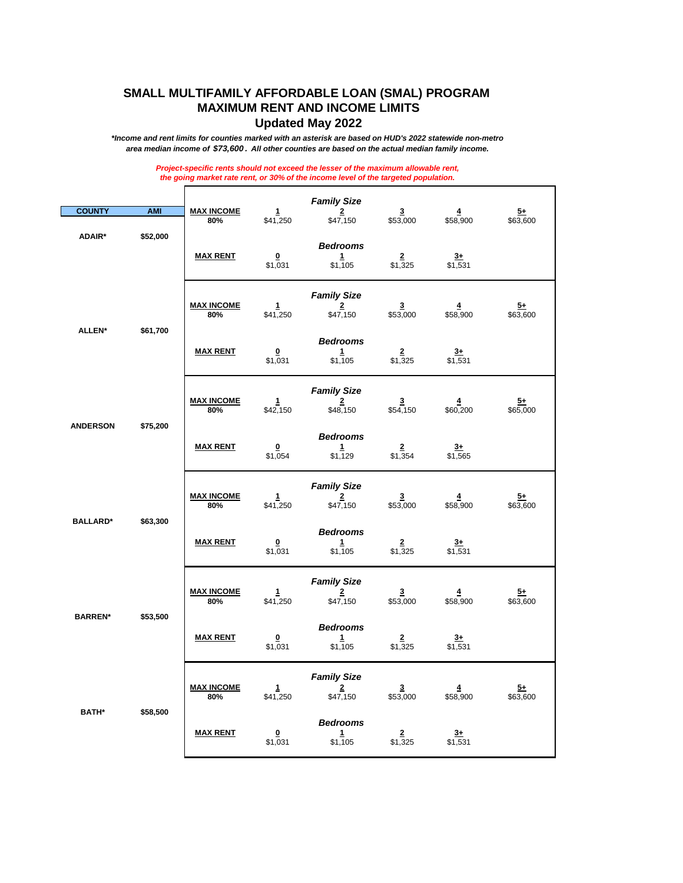## **SMALL MULTIFAMILY AFFORDABLE LOAN (SMAL) PROGRAM MAXIMUM RENT AND INCOME LIMITS Updated May 2022**

*\*Income and rent limits for counties marked with an asterisk are based on HUD's 2022 statewide non-metro area median income of \$73,600 . All other counties are based on the actual median family income.*

> *Project-specific rents should not exceed the lesser of the maximum allowable rent, the going market rate rent, or 30% of the income level of the targeted population.*

| <b>COUNTY</b>   | <b>AMI</b>                | <b>MAX INCOME</b>        | 1                                              | <b>Family Size</b><br><u>2</u>                            | $\overline{\mathbf{3}}$               | $\overline{4}$              | <u>5+</u>                   |
|-----------------|---------------------------|--------------------------|------------------------------------------------|-----------------------------------------------------------|---------------------------------------|-----------------------------|-----------------------------|
| <b>ADAIR*</b>   | \$52,000                  | 80%<br><b>MAX RENT</b>   | \$41,250<br>$\overline{\mathbf{0}}$<br>\$1,031 | \$47,150<br><b>Bedrooms</b><br>1<br>\$1,105               | \$53,000<br>$\overline{2}$<br>\$1,325 | \$58,900<br>$3+$<br>\$1,531 | \$63,600                    |
|                 |                           | <b>MAX INCOME</b><br>80% | $\mathbf{1}$<br>\$41,250                       | <b>Family Size</b><br>$\overline{\mathbf{2}}$<br>\$47,150 | $\overline{3}$<br>\$53,000            | $\overline{4}$<br>\$58,900  | <u>5+</u><br>\$63,600       |
|                 | <b>ALLEN*</b><br>\$61,700 | <b>MAX RENT</b>          | $\overline{\mathbf{0}}$<br>\$1,031             | <b>Bedrooms</b><br>1<br>\$1,105                           | $\overline{2}$<br>$\sqrt{325}$        | $3+$<br>\$1,531             |                             |
|                 |                           | <b>MAX INCOME</b><br>80% | 1<br>\$42,150                                  | <b>Family Size</b><br>$\frac{2}{3}$<br>\$48,150           | $\overline{\mathbf{3}}$<br>\$54,150   | $\overline{4}$<br>\$60,200  | $5+$<br>\$65,000            |
| <b>ANDERSON</b> | \$75,200                  | <b>MAX RENT</b>          | $\overline{\mathbf{0}}$<br>\$1,054             | <b>Bedrooms</b><br>1<br>\$1,129                           | $\overline{2}$<br>\$1,354             | $3+$<br>\$1,565             |                             |
|                 |                           | <b>MAX INCOME</b><br>80% | $\mathbf{1}$<br>\$41,250                       | <b>Family Size</b><br>$\frac{2}{2}$<br>\$47,150           | $\frac{3}{153,000}$                   | $\overline{4}$<br>\$58,900  | $\overline{5+}$<br>\$63,600 |
| <b>BALLARD*</b> | \$63,300                  | <b>MAX RENT</b>          | $\mathbf{0}$<br>\$1,031                        | <b>Bedrooms</b><br>1<br>\$1,105                           | $\frac{2}{1,325}$                     | $rac{3+}{2}$<br>\$1,531     |                             |
|                 |                           | <b>MAX INCOME</b><br>80% | 1<br>\$41,250                                  | <b>Family Size</b><br>$\overline{2}$<br>\$47,150          | $\overline{3}$<br>\$53,000            | $\overline{4}$<br>\$58,900  | <u>5+</u><br>\$63,600       |
| <b>BARREN*</b>  | \$53,500                  | <b>MAX RENT</b>          | $\overline{\mathbf{0}}$<br>\$1,031             | <b>Bedrooms</b><br>$\frac{1}{2}$<br>\$1,105               | $2^{\circ}$<br>\$1,325                | $3+$<br>\$1,531             |                             |
|                 |                           | <b>MAX INCOME</b><br>80% | 1<br>\$41,250                                  | <b>Family Size</b><br>$\frac{2}{2}$<br>\$47,150           | $\overline{\mathbf{3}}$<br>\$53,000   | $\overline{4}$<br>\$58,900  | <u>5+</u><br>\$63,600       |
| <b>BATH*</b>    | \$58,500                  | <b>MAX RENT</b>          | $\mathbf 0$<br>\$1,031                         | <b>Bedrooms</b><br>1<br>\$1,105                           | $\frac{2}{1,325}$                     | $\overline{3+}$<br>\$1,531  |                             |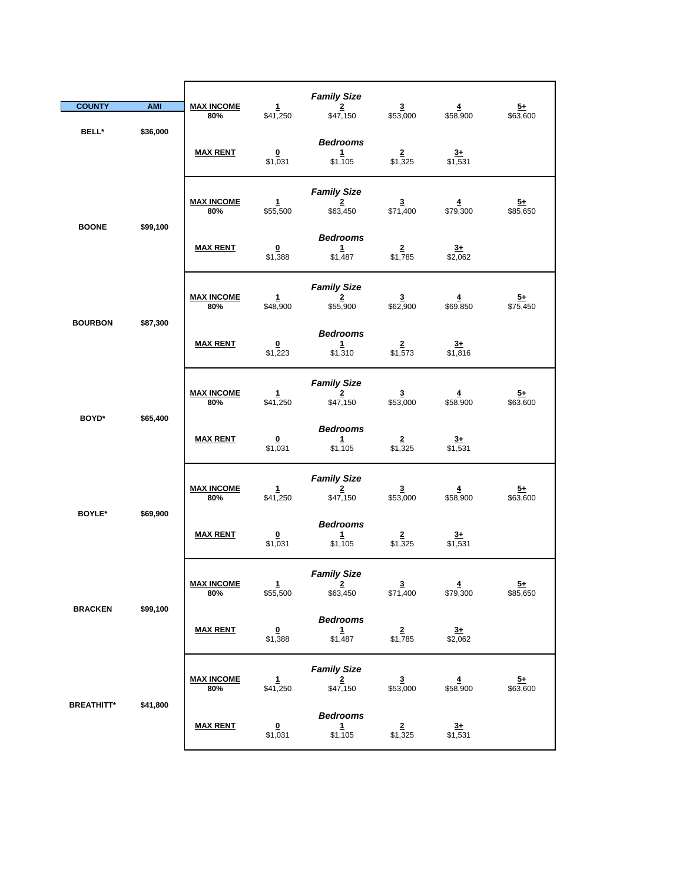|                   |                          |                                    |                                                  | <b>Family Size</b>                               |                                     |                             |                            |
|-------------------|--------------------------|------------------------------------|--------------------------------------------------|--------------------------------------------------|-------------------------------------|-----------------------------|----------------------------|
| <b>COUNTY</b>     | <b>AMI</b>               | <b>MAX INCOME</b><br>80%           | $\mathbf{1}$<br>\$41,250                         | $\overline{2}$<br>\$47,150                       | $\overline{\mathbf{3}}$<br>\$53,000 | $\overline{4}$<br>\$58,900  | $\frac{5+}{2}$<br>\$63,600 |
| BELL*             | \$36,000                 | <b>MAX RENT</b>                    | $\overline{\mathbf{0}}$<br>\$1,031               | <b>Bedrooms</b><br>$\mathbf{1}$<br>\$1,105       | $\overline{2}$<br>\$1,325           | $3+$<br>\$1,531             |                            |
|                   |                          | <b>MAX INCOME</b><br>80%           | $\mathbf{1}$<br>\$55,500                         | <b>Family Size</b><br>$\overline{2}$<br>\$63,450 | $\overline{\mathbf{3}}$<br>\$71,400 | $\overline{4}$<br>\$79,300  | $\frac{5+}{2}$<br>\$85,650 |
| <b>BOONE</b>      | \$99,100                 | <b>MAX RENT</b>                    | $\overline{\mathbf{0}}$<br>\$1,388               | <b>Bedrooms</b><br>1<br>\$1,487                  | \$1,785                             | $\frac{3+}{2}$<br>\$2,062   |                            |
| <b>BOURBON</b>    | \$87,300                 | <b>MAX INCOME</b><br>80%           | $\mathbf{1}$<br>\$48,900                         | <b>Family Size</b><br>$\overline{2}$<br>\$55,900 | $\mathbf{3}$<br>\$62,900            | $\overline{4}$<br>\$69,850  | $\frac{5+}{575,450}$       |
|                   | <b>MAX RENT</b>          | $\overline{\mathbf{0}}$<br>\$1,223 | <b>Bedrooms</b><br>1<br>\$1,310                  | $\frac{2}{\$1,573}$                              | $\frac{3+}{1,816}$                  |                             |                            |
| BOYD*<br>\$65,400 | <b>MAX INCOME</b><br>80% | $\mathbf{1}$<br>\$41,250           | <b>Family Size</b><br>$\overline{2}$<br>\$47,150 | $\overline{\mathbf{3}}$<br>\$53,000              | $\overline{4}$<br>\$58,900          | $\overline{5+}$<br>\$63,600 |                            |
|                   |                          | <b>MAX RENT</b>                    | $\overline{\mathbf{0}}$<br>\$1,031               | <b>Bedrooms</b><br>$\mathbf{1}$<br>\$1,105       | $\overline{2}$<br>\$1,325           | $3+$<br>\$1,531             |                            |
| <b>BOYLE*</b>     | \$69,900                 | <b>MAX INCOME</b><br>80%           | $\mathbf{1}$<br>\$41,250                         | <b>Family Size</b><br>$\overline{2}$<br>\$47,150 | $\frac{3}{153,000}$                 | $\overline{4}$<br>\$58,900  | $\frac{5+}{2}$<br>\$63,600 |
|                   |                          | <b>MAX RENT</b>                    | $\overline{\mathbf{0}}$<br>\$1,031               | <b>Bedrooms</b><br>$\mathbf{1}$<br>\$1,105       | $\overline{2}$<br>\$1,325           | $\frac{3+}{1,531}$          |                            |
|                   | \$99,100                 | <b>MAX INCOME</b><br>80%           | $\mathbf{1}$<br>\$55,500                         | <b>Family Size</b><br>$\overline{2}$<br>\$63,450 | $\frac{3}{1,400}$                   | $\frac{4}{1579,300}$        | $\frac{5+}{1}$ \$85,650    |
| <b>BRACKEN</b>    |                          | <b>MAX RENT</b>                    | $\overline{\mathbf{0}}$<br>\$1,388               | <b>Bedrooms</b><br>1<br>\$1,487                  | $\frac{2}{1,785}$                   | $\frac{3+}{2,062}$          |                            |
|                   |                          | <b>MAX INCOME</b><br>80%           | 1<br>\$41,250                                    | <b>Family Size</b><br>$\frac{2}{150}$            | $\frac{3}{153,000}$                 | 4<br>\$58,900               | $\frac{5+}{63,600}$        |
| <b>BREATHITT*</b> | \$41,800                 | <b>MAX RENT</b>                    | $\overline{\mathbf{0}}$<br>\$1,031               | <b>Bedrooms</b><br>$\frac{1}{1}$ \$1,105         | $\frac{2}{1,325}$                   | $\frac{3+}{1,531}$          |                            |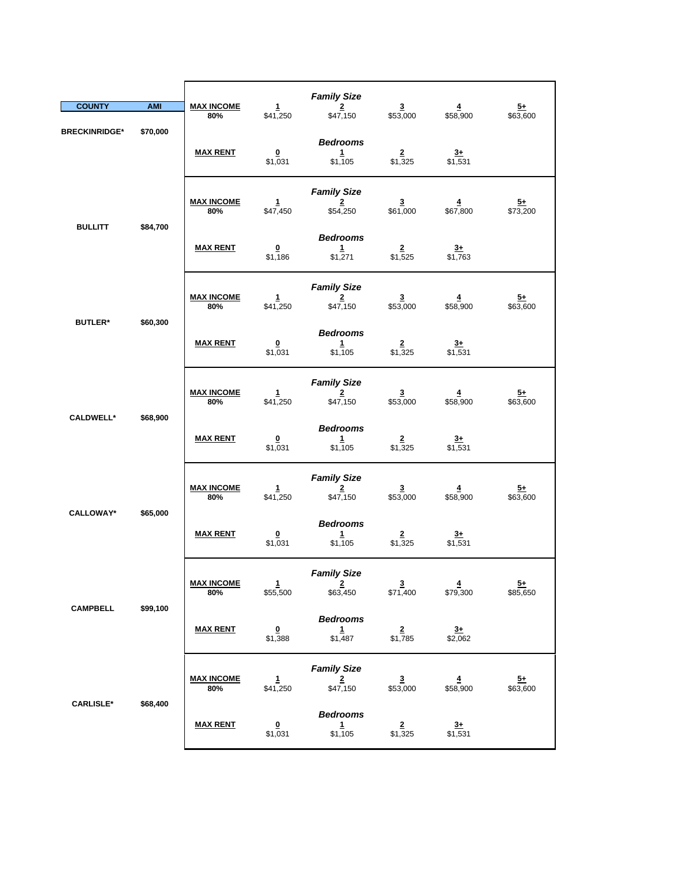| <b>COUNTY</b>              | <b>AMI</b>      | <b>MAX INCOME</b>        | 1                                          | <b>Family Size</b><br>$\overline{2}$                      | $\overline{\mathbf{3}}$             | $\overline{\mathbf{4}}$             | $\frac{5+}{2}$              |
|----------------------------|-----------------|--------------------------|--------------------------------------------|-----------------------------------------------------------|-------------------------------------|-------------------------------------|-----------------------------|
| <b>BRECKINRIDGE*</b>       | \$70,000        | 80%                      | \$41,250                                   | \$47,150                                                  | \$53,000                            | \$58,900                            | \$63,600                    |
|                            |                 | <b>MAX RENT</b>          | $\pmb{0}$<br>\$1,031                       | <b>Bedrooms</b><br>1<br>\$1,105                           | $\overline{2}$<br>\$1,325           | $3+$<br>\$1,531                     |                             |
| <b>BULLITT</b>             |                 | <b>MAX INCOME</b><br>80% | 1<br>\$47,450                              | <b>Family Size</b><br>$\overline{\mathbf{2}}$<br>\$54,250 | 3<br>\$61,000                       | 4<br>\$67,800                       | $\frac{5+}{573,200}$        |
|                            | \$84,700        | <b>MAX RENT</b>          | $\overline{\mathbf{0}}$<br>\$1,186         | <b>Bedrooms</b><br>1<br>\$1,271                           | $\frac{2}{1,525}$                   | $\frac{3+}{1,763}$                  |                             |
|                            |                 | <b>MAX INCOME</b><br>80% | 1<br>\$41,250                              | <b>Family Size</b><br>$\overline{2}$<br>\$47,150          | 3<br>\$53,000                       | $\overline{\mathbf{4}}$<br>\$58,900 | <u>5+</u><br>\$63,600       |
| <b>BUTLER*</b><br>\$60,300 | <b>MAX RENT</b> | 0<br>\$1,031             | <b>Bedrooms</b><br>$\mathbf{1}$<br>\$1,105 | $\overline{2}$<br>\$1,325                                 | $3+$<br>\$1,531                     |                                     |                             |
|                            | \$68,900        | <b>MAX INCOME</b><br>80% | $\mathbf{1}$<br>\$41,250                   | <b>Family Size</b><br>$\overline{2}$<br>\$47,150          | $\frac{3}{153,000}$                 | $\overline{\mathbf{4}}$<br>\$58,900 | $\frac{5+}{63,600}$         |
| <b>CALDWELL*</b>           |                 | <b>MAX RENT</b>          | $\overline{\mathbf{0}}$<br>\$1,031         | <b>Bedrooms</b><br>1<br>\$1,105                           | $\overline{\mathbf{2}}$<br>\$1,325  | $\overline{3+}$<br>\$1,531          |                             |
|                            |                 | <b>MAX INCOME</b><br>80% | $\mathbf{1}$<br>\$41,250                   | <b>Family Size</b><br>$\overline{2}$<br>\$47,150          | $\overline{\mathbf{3}}$<br>\$53,000 | $\overline{4}$<br>\$58,900          | $\frac{5+}{2}$<br>\$63,600  |
| <b>CALLOWAY*</b>           | \$65,000        | <b>MAX RENT</b>          | $\overline{\mathbf{0}}$<br>\$1,031         | <b>Bedrooms</b><br>$\mathbf{1}$<br>\$1,105                | $\frac{2}{1,325}$                   | $\overline{3+}$<br>\$1,531          |                             |
|                            |                 | <u>MAX INCOME</u><br>80% | $\mathbf{1}$<br>\$55,500                   | <b>Family Size</b><br>$2 \rightarrow$<br>\$63,450         | 3<br>\$71,400                       | 4<br>\$79,300                       | $\overline{5+}$<br>\$85,650 |
| <b>CAMPBELL</b>            | \$99,100        | <b>MAX RENT</b>          | $\underline{\mathbf{0}}$<br>\$1,388        | <b>Bedrooms</b><br>1<br>\$1,487                           | $\frac{2}{1,785}$                   | $3+$<br>$\sqrt{$2,062}$             |                             |
|                            |                 | <b>MAX INCOME</b><br>80% | $\mathbf{1}$<br>\$41,250                   | <b>Family Size</b><br>$\overline{\mathbf{2}}$<br>\$47,150 | $\overline{\mathbf{3}}$<br>\$53,000 | $\overline{4}$<br>\$58,900          | $5+$<br>\$63,600            |
| <b>CARLISLE*</b>           | \$68,400        | <b>MAX RENT</b>          | $\overline{\mathbf{0}}$<br>\$1,031         | <b>Bedrooms</b><br>$\mathbf{1}$<br>\$1,105                | $\overline{2}$<br>\$1,325           | $3+$<br>\$1,531                     |                             |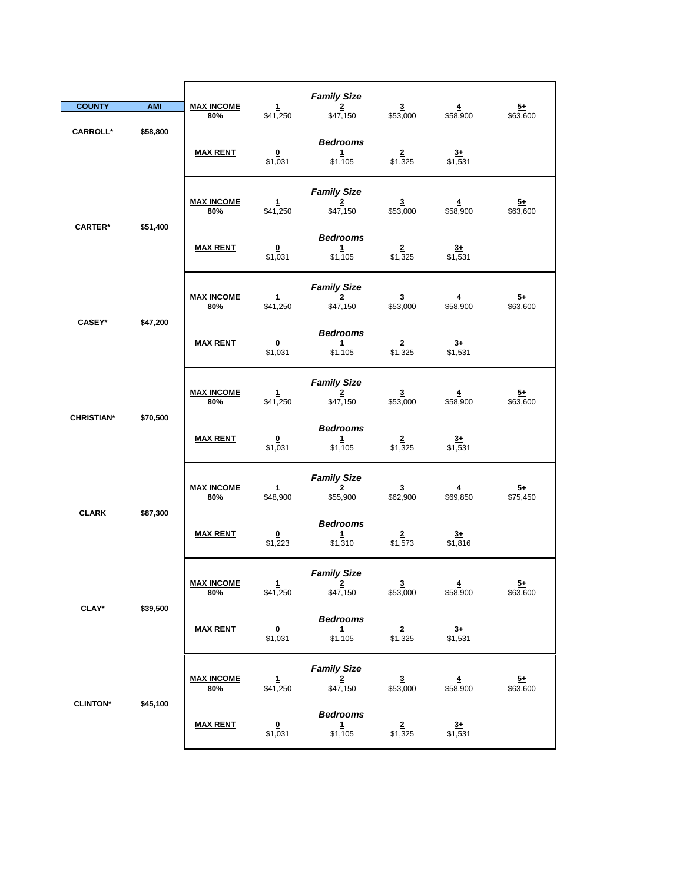| <b>COUNTY</b>     | <b>AMI</b> | <b>MAX INCOME</b><br>80% | $\mathbf{1}$<br>\$41,250           | <b>Family Size</b><br>$\overline{2}$<br>\$47,150 | $\overline{\mathbf{3}}$<br>\$53,000 | $\overline{4}$<br>\$58,900 | $5+$<br>\$63,600            |
|-------------------|------------|--------------------------|------------------------------------|--------------------------------------------------|-------------------------------------|----------------------------|-----------------------------|
| <b>CARROLL*</b>   | \$58,800   | <b>MAX RENT</b>          | $\Omega$<br>\$1,031                | <b>Bedrooms</b><br>$\mathbf{1}$<br>\$1,105       | $\overline{2}$<br>\$1,325           | $3+$<br>$\sqrt{531}$       |                             |
| <b>CARTER*</b>    | \$51,400   | <b>MAX INCOME</b><br>80% | $\mathbf{1}$<br>\$41,250           | <b>Family Size</b><br>$\overline{2}$<br>\$47,150 | $\overline{\mathbf{3}}$<br>\$53,000 | $\overline{4}$<br>\$58,900 | <u>5+</u><br>\$63,600       |
|                   |            | <b>MAX RENT</b>          | $\bf{0}$<br>\$1,031                | <b>Bedrooms</b><br>1<br>\$1,105                  | $\frac{2}{1,325}$                   | $\frac{3+}{1,531}$         |                             |
| <b>CASEY*</b>     | \$47,200   | <b>MAX INCOME</b><br>80% | $\mathbf{1}$<br>\$41,250           | <b>Family Size</b><br>$\overline{2}$<br>\$47,150 | $\overline{\mathbf{3}}$<br>\$53,000 | $\overline{4}$<br>\$58,900 | <u>5+</u><br>\$63,600       |
|                   |            | <b>MAX RENT</b>          | $\overline{\mathbf{0}}$<br>\$1,031 | <b>Bedrooms</b><br>1<br>\$1,105                  | $\overline{\mathbf{2}}$<br>\$1,325  | $\frac{3+}{2}$<br>\$1,531  |                             |
| <b>CHRISTIAN*</b> | \$70,500   | <b>MAX INCOME</b><br>80% | $\frac{1}{1}$ \$41,250             | <b>Family Size</b><br>$\overline{2}$<br>\$47,150 | $\frac{3}{153,000}$                 | $\frac{4}{158,900}$        | $\frac{5+}{63,600}$         |
|                   |            | <b>MAX RENT</b>          | $\bf{0}$<br>\$1,031                | <b>Bedrooms</b><br>1<br>\$1,105                  | $\overline{2}$<br>\$1,325           | $rac{3+}{2}$<br>\$1,531    |                             |
| <b>CLARK</b>      | \$87,300   | <b>MAX INCOME</b><br>80% | $\mathbf{1}$<br>\$48,900           | <b>Family Size</b><br>$\overline{2}$<br>\$55,900 | $\overline{\mathbf{3}}$<br>\$62,900 | $\overline{4}$<br>\$69,850 | $\frac{5+}{2}$<br>\$75,450  |
|                   |            | <b>MAX RENT</b>          | $\overline{\mathbf{0}}$<br>\$1,223 | <b>Bedrooms</b><br>1<br>\$1,310                  | $\overline{2}$<br>\$1,573           | $3+$<br>\$1,816            |                             |
| <b>CLAY*</b>      | \$39,500   | <b>MAX INCOME</b><br>80% | $\mathbf{1}$<br>\$41,250           | <b>Family Size</b><br>$2^{\circ}$<br>\$47,150    | $\overline{3}$<br>\$53,000          | $\overline{4}$<br>\$58,900 | $\overline{5+}$<br>\$63,600 |
|                   |            | <b>MAX RENT</b>          | $\frac{0}{1,031}$                  | <b>Bedrooms</b><br>$\frac{1}{1,105}$             | $\frac{2}{1,325}$                   | $\frac{3+}{1,531}$         |                             |
|                   |            | <b>MAX INCOME</b><br>80% | $\frac{1}{1}$ \$41,250             | <b>Family Size</b><br>$\frac{2}{150}$            | $\frac{3}{153,000}$                 | $\frac{4}{158,900}$        | $\frac{5+}{63,600}$         |
| <b>CLINTON*</b>   | \$45,100   | <b>MAX RENT</b>          | $\overline{\mathbf{0}}$<br>\$1,031 | <b>Bedrooms</b><br>$\frac{1}{1,105}$             | $\frac{2}{1,325}$                   | $\frac{3+}{2}$<br>\$1,531  |                             |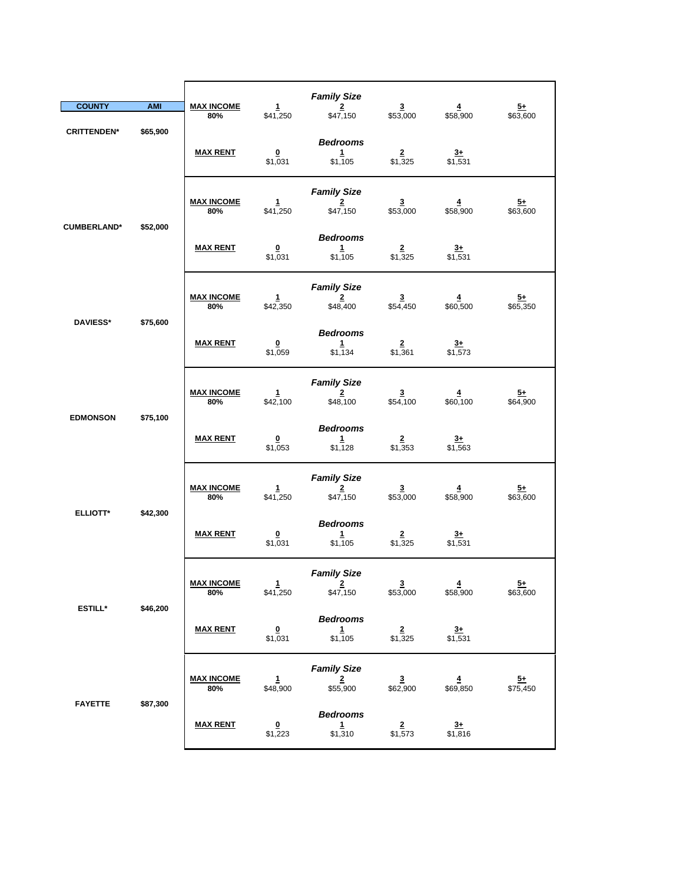| <b>COUNTY</b>      | <b>AMI</b>      | <b>MAX INCOME</b><br>80% | $\mathbf{1}$<br>\$41,250           | <b>Family Size</b><br>$\overline{2}$<br>\$47,150          | $\overline{\mathbf{3}}$<br>\$53,000 | $\overline{4}$<br>\$58,900          | $\frac{5+}{2}$<br>\$63,600  |
|--------------------|-----------------|--------------------------|------------------------------------|-----------------------------------------------------------|-------------------------------------|-------------------------------------|-----------------------------|
| <b>CRITTENDEN*</b> | \$65,900        | <b>MAX RENT</b>          | $\overline{\mathbf{0}}$<br>\$1,031 | <b>Bedrooms</b><br>$\mathbf{1}$<br>\$1,105                | $\mathbf{2}$<br>\$1,325             | $\frac{3+}{1,531}$                  |                             |
| <b>CUMBERLAND*</b> | \$52,000        | <b>MAX INCOME</b><br>80% | 1<br>\$41,250                      | <b>Family Size</b><br>$\overline{\mathbf{z}}$<br>\$47,150 | $\overline{\mathbf{3}}$<br>\$53,000 | 4<br>\$58,900                       | $\frac{5+}{2}$<br>\$63,600  |
|                    |                 | <b>MAX RENT</b>          | $\frac{0}{1,031}$                  | <b>Bedrooms</b><br>$\frac{1}{2}$<br>\$1,105               | $\frac{2}{1,325}$                   | $\frac{3+}{1,531}$                  |                             |
| <b>DAVIESS*</b>    | \$75,600        | <b>MAX INCOME</b><br>80% | $\mathbf{1}$<br>\$42,350           | <b>Family Size</b><br>$\overline{2}$<br>\$48,400          | $\overline{\mathbf{3}}$<br>\$54,450 | $\overline{\mathbf{4}}$<br>\$60,500 | <u>5+</u><br>\$65,350       |
|                    | <b>MAX RENT</b> | 0<br>\$1,059             | <b>Bedrooms</b><br>1<br>\$1,134    | $\overline{2}$<br>\$1,361                                 | $\overline{3}$<br>$\sqrt{$1,573}$   |                                     |                             |
|                    | \$75,100        | <b>MAX INCOME</b><br>80% | $\mathbf{1}$<br>\$42,100           | <b>Family Size</b><br>$\overline{2}$<br>\$48,100          | $\frac{3}{100}$                     | $\frac{4}{100}$                     | $\frac{5+}{64,900}$         |
| <b>EDMONSON</b>    |                 | <b>MAX RENT</b>          | $\overline{\mathbf{0}}$<br>\$1,053 | <b>Bedrooms</b><br>$\mathbf{1}$<br>\$1,128                | $\overline{2}$<br>\$1,353           | $3+$<br>\$1,563                     |                             |
| <b>ELLIOTT*</b>    | \$42,300        | <b>MAX INCOME</b><br>80% | $\mathbf{1}$<br>\$41,250           | <b>Family Size</b><br>$\overline{2}$<br>\$47,150          | $\overline{\mathbf{3}}$<br>\$53,000 | $\overline{4}$<br>\$58,900          | $\frac{5+}{2}$<br>\$63,600  |
|                    |                 | <b>MAX RENT</b>          | $\overline{\mathbf{0}}$<br>\$1,031 | <b>Bedrooms</b><br>$\mathbf{1}$<br>\$1,105                | $\frac{2}{1,325}$                   | $\frac{3+}{1,531}$                  |                             |
|                    | \$46,200        | <u>MAX INCOME</u><br>80% | $\mathbf{1}$<br>\$41,250           | <b>Family Size</b><br>$2 \rightarrow$<br>\$47,150         | $\overline{\mathbf{3}}$<br>\$53,000 | 4<br>\$58,900                       | $\overline{5+}$<br>\$63,600 |
| <b>ESTILL*</b>     |                 | <b>MAX RENT</b>          | $\overline{\mathbf{0}}$<br>\$1,031 | <b>Bedrooms</b><br>$\mathbf{1}$<br>\$1,105                | $\frac{2}{1,325}$                   | $\frac{3+}{1,531}$                  |                             |
|                    | \$87,300        | <b>MAX INCOME</b><br>80% | $\mathbf{1}$<br>\$48,900           | <b>Family Size</b><br>$\mathbf 2$<br>\$55,900             | $\mathbf{3}$<br>\$62,900            | $\overline{4}$<br>\$69,850          | $5+$<br>\$75,450            |
| <b>FAYETTE</b>     |                 | <b>MAX RENT</b>          | $\overline{\mathbf{0}}$<br>\$1,223 | <b>Bedrooms</b><br>$\mathbf{1}$<br>\$1,310                | $\overline{2}$<br>\$1,573           | $rac{3+}{2}$<br>\$1,816             |                             |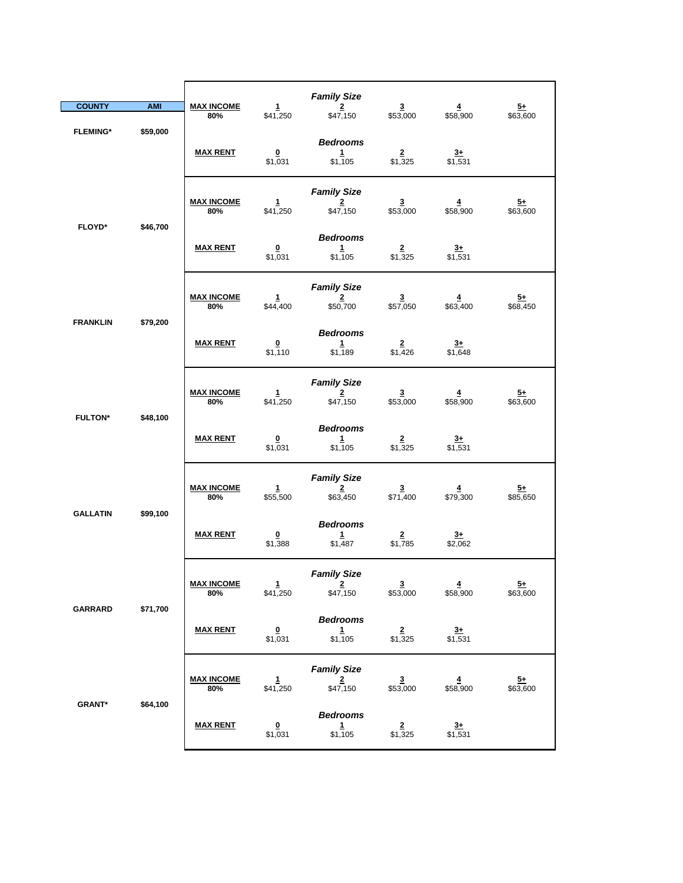| <b>COUNTY</b>   | <b>AMI</b>                  | <b>MAX INCOME</b>        | $\mathbf{1}$                       | <b>Family Size</b><br>$\overline{2}$                   | $\overline{\mathbf{3}}$               | $\overline{4}$              | $5+$                       |
|-----------------|-----------------------------|--------------------------|------------------------------------|--------------------------------------------------------|---------------------------------------|-----------------------------|----------------------------|
| <b>FLEMING*</b> | \$59,000                    | 80%<br><b>MAX RENT</b>   | \$41,250<br>$\Omega$<br>\$1,031    | \$47,150<br><b>Bedrooms</b><br>$\mathbf{1}$<br>\$1,105 | \$53,000<br>$\overline{2}$<br>\$1,325 | \$58,900<br>$3+$<br>\$1,531 | \$63,600                   |
|                 |                             | <b>MAX INCOME</b><br>80% | 1<br>\$41,250                      | <b>Family Size</b><br>$\overline{2}$<br>\$47,150       | $\overline{\mathbf{3}}$<br>\$53,000   | $\overline{4}$<br>\$58,900  | <u>5+</u><br>\$63,600      |
| <b>FLOYD*</b>   | \$46,700                    | <b>MAX RENT</b>          | $\overline{\mathbf{0}}$<br>\$1,031 | <b>Bedrooms</b><br>$\mathbf{1}$<br>\$1,105             | $\frac{2}{1,325}$                     | $\frac{3+}{1,531}$          |                            |
|                 |                             | <b>MAX INCOME</b><br>80% | $\mathbf{1}$<br>\$44,400           | <b>Family Size</b><br>$\overline{2}$<br>\$50,700       | $\overline{\mathbf{3}}$<br>\$57,050   | $\overline{4}$<br>\$63,400  | $\frac{5+}{2}$<br>\$68,450 |
|                 | <b>FRANKLIN</b><br>\$79,200 | <b>MAX RENT</b>          | $\overline{\mathbf{0}}$<br>\$1,110 | <b>Bedrooms</b><br>1<br>\$1,189                        | $\overline{2}$<br>\$1,426             | $3+$<br>\$1,648             |                            |
| <b>FULTON*</b>  | \$48,100                    | <b>MAX INCOME</b><br>80% | $\frac{1}{1}$ \$41,250             | <b>Family Size</b><br>$\overline{2}$<br>\$47,150       | $\frac{3}{153,000}$                   | $\frac{4}{158,900}$         | $\frac{5+}{63,600}$        |
|                 |                             | <b>MAX RENT</b>          | $\overline{\mathbf{0}}$<br>\$1,031 | <b>Bedrooms</b><br>1<br>\$1,105                        | $\overline{2}$<br>\$1,325             | $rac{3+}{2}$<br>\$1,531     |                            |
| <b>GALLATIN</b> | \$99,100                    | <b>MAX INCOME</b><br>80% | $\mathbf{1}$<br>\$55,500           | <b>Family Size</b><br>$\overline{2}$<br>\$63,450       | $\overline{\mathbf{3}}$<br>\$71,400   | $\overline{4}$<br>\$79,300  | $\frac{5+}{2}$<br>\$85,650 |
|                 |                             | <b>MAX RENT</b>          | $\overline{\mathbf{0}}$<br>\$1,388 | <b>Bedrooms</b><br>$\mathbf{1}$<br>\$1,487             | $\overline{\mathbf{2}}$<br>\$1,785    | $\frac{3+}{2}$<br>\$2,062   |                            |
| GARRARD         | \$71,700                    | <b>MAX INCOME</b><br>80% | $\mathbf{1}$<br>\$41,250           | <b>Family Size</b><br>$\overline{2}$<br>\$47,150       | $\frac{3}{153,000}$                   | $\overline{4}$<br>\$58,900  | $\frac{5+}{2}$<br>\$63,600 |
|                 |                             | <b>MAX RENT</b>          | $\overline{\mathbf{0}}$<br>\$1,031 | <b>Bedrooms</b><br>$\mathbf{1}$<br>\$1,105             | $\overline{2}$<br>\$1,325             | $\frac{3+}{2}$<br>\$1,531   |                            |
| <b>GRANT*</b>   | \$64,100                    | <b>MAX INCOME</b><br>80% | $\frac{1}{1}$ \$41,250             | <b>Family Size</b><br>$\frac{2}{\$47,150}$             | $\frac{3}{153,000}$                   | $\frac{4}{158,900}$         | $\frac{5+}{63,600}$        |
|                 |                             | <b>MAX RENT</b>          | $\overline{\mathbf{0}}$<br>\$1,031 | <b>Bedrooms</b><br>$\mathbf{1}$<br>\$1,105             | $\overline{2}$<br>\$1,325             | $3+$<br>\$1,531             |                            |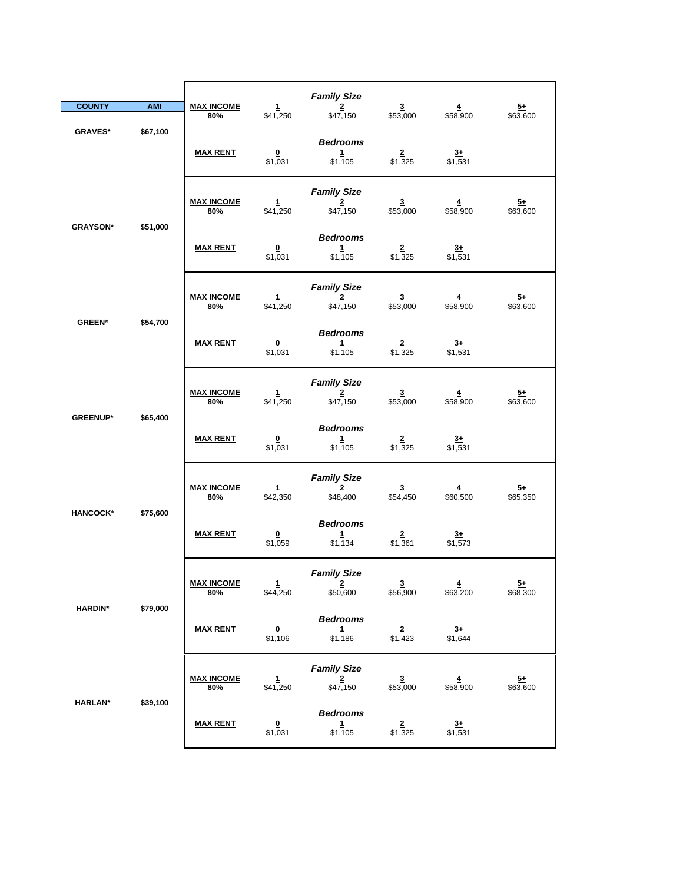| <b>COUNTY</b>   | <b>AMI</b> | <b>MAX INCOME</b><br>80% | 1<br>\$41,250                       | <b>Family Size</b><br>$\overline{2}$<br>\$47,150 | $\overline{\mathbf{3}}$<br>\$53,000 | $\frac{4}{158,900}$                 | $\frac{5+}{2}$<br>\$63,600  |
|-----------------|------------|--------------------------|-------------------------------------|--------------------------------------------------|-------------------------------------|-------------------------------------|-----------------------------|
| <b>GRAVES*</b>  | \$67,100   | <b>MAX RENT</b>          | $\Omega$<br>\$1,031                 | <b>Bedrooms</b><br>1<br>\$1,105                  | $\overline{2}$<br>\$1,325           | $3+$<br>\$1,531                     |                             |
| <b>GRAYSON*</b> | \$51,000   | <b>MAX INCOME</b><br>80% | $\mathbf{1}$<br>\$41,250            | <b>Family Size</b><br>$\overline{2}$<br>\$47,150 | $\overline{\mathbf{3}}$<br>\$53,000 | 4<br>\$58,900                       | $\overline{5+}$<br>\$63,600 |
|                 |            | <b>MAX RENT</b>          | $\overline{\mathbf{0}}$<br>\$1,031  | <b>Bedrooms</b><br>1<br>\$1,105                  | \$1,325                             | $\frac{3+}{1,531}$                  |                             |
| <b>GREEN*</b>   | \$54,700   | <b>MAX INCOME</b><br>80% | $\mathbf{1}$<br>\$41,250            | <b>Family Size</b><br>$\overline{2}$<br>\$47,150 | $\frac{3}{153,000}$                 | $\frac{4}{158,900}$                 | $\frac{5+}{2}$<br>\$63,600  |
|                 |            | <b>MAX RENT</b>          | $\overline{\mathbf{0}}$<br>\$1,031  | <b>Bedrooms</b><br>1<br>\$1,105                  | $\overline{2}$<br>\$1,325           | $3+$<br>\$1,531                     |                             |
|                 |            | <b>MAX INCOME</b><br>80% | $\mathbf{1}$<br>\$41,250            | <b>Family Size</b><br>$\mathbf{2}$<br>\$47,150   | $\frac{3}{153,000}$                 | $\frac{4}{158,900}$                 | $\frac{5+}{63,600}$         |
| <b>GREENUP*</b> | \$65,400   | <b>MAX RENT</b>          | $\bf{0}$<br>\$1,031                 | <b>Bedrooms</b><br>1<br>\$1,105                  | $\overline{2}$<br>\$1,325           | $\frac{3+}{1,531}$                  |                             |
| <b>HANCOCK*</b> | \$75,600   | <b>MAX INCOME</b><br>80% | $\mathbf{1}$<br>\$42,350            | <b>Family Size</b><br>$\overline{2}$<br>\$48,400 | $\overline{\mathbf{3}}$<br>\$54,450 | $\overline{4}$<br>\$60,500          | $\frac{5+}{5+}$<br>\$65,350 |
|                 |            | <b>MAX RENT</b>          | $\underline{\mathbf{0}}$<br>\$1,059 | <b>Bedrooms</b><br>1<br>\$1,134                  | $\overline{2}$<br>\$1,361           | $\frac{3+}{1,573}$                  |                             |
|                 | \$79,000   | <b>MAX INCOME</b><br>80% | $\mathbf{1}$<br>\$44,250            | <b>Family Size</b><br>2<br>\$50,600              | $\frac{3}{156,900}$                 | $\overline{\mathbf{4}}$<br>\$63,200 | $\frac{5+}{2}$<br>\$68,300  |
| <b>HARDIN*</b>  |            | <b>MAX RENT</b>          | $\Omega$<br>\$1,106                 | <b>Bedrooms</b><br>$\mathbf{1}$<br>\$1,186       | $\frac{2}{1,423}$                   | $\frac{3+}{1,644}$                  |                             |
|                 |            | <b>MAX INCOME</b><br>80% | $\mathbf{1}$<br>\$41,250            | <b>Family Size</b><br>$\frac{2}{150}$            | $\frac{3}{153,000}$                 | $\frac{4}{158,900}$                 | $\frac{5+}{63,600}$         |
| <b>HARLAN*</b>  | \$39,100   | <b>MAX RENT</b>          | $\frac{0}{1,031}$                   | <b>Bedrooms</b><br>$\mathbf{1}$<br>\$1,105       | $\frac{2}{1,325}$                   | $\frac{3+}{1,531}$                  |                             |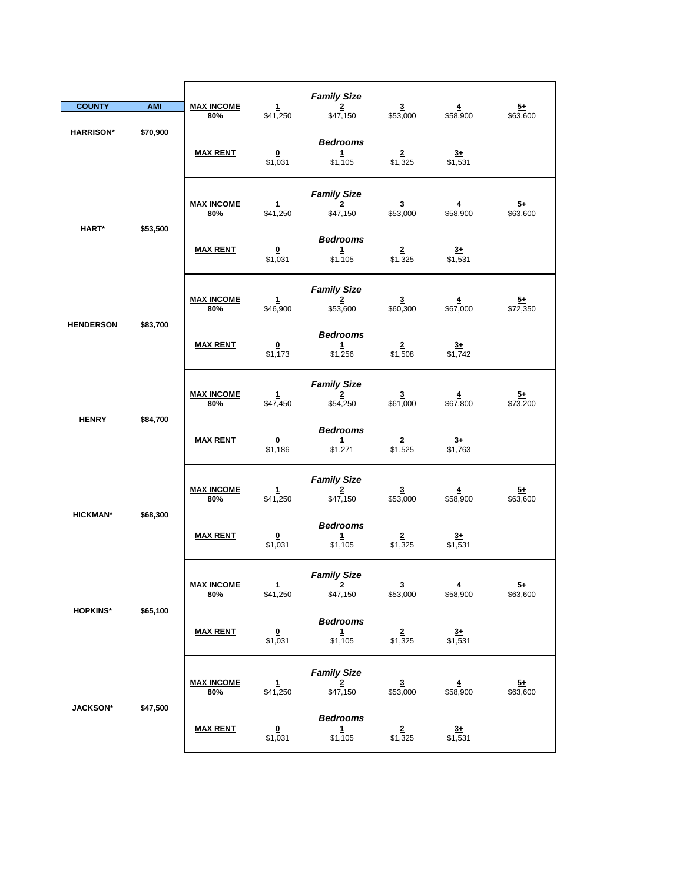|                              |                 |                          |                                    | <b>Family Size</b>                               |                                     |                            |                             |
|------------------------------|-----------------|--------------------------|------------------------------------|--------------------------------------------------|-------------------------------------|----------------------------|-----------------------------|
| <b>COUNTY</b>                | <b>AMI</b>      | <b>MAX INCOME</b><br>80% | $\mathbf{1}$<br>\$41,250           | $\overline{2}$<br>\$47,150                       | $\overline{\mathbf{3}}$<br>\$53,000 | $\overline{4}$<br>\$58,900 | $\frac{5+}{2}$<br>\$63,600  |
| <b>HARRISON*</b>             | \$70,900        | <b>MAX RENT</b>          | $\overline{\mathbf{0}}$<br>\$1,031 | <b>Bedrooms</b><br>1<br>\$1,105                  | $\frac{2}{1,325}$                   | $\frac{3+}{1,531}$         |                             |
|                              |                 | <b>MAX INCOME</b><br>80% | $\mathbf{1}$<br>\$41,250           | <b>Family Size</b><br>$\overline{2}$<br>\$47,150 | $\frac{3}{153,000}$                 | $\overline{4}$<br>\$58,900 | $\frac{5+}{2}$<br>\$63,600  |
| HART*                        | \$53,500        | <b>MAX RENT</b>          | $\overline{\mathbf{0}}$<br>\$1,031 | <b>Bedrooms</b><br>$\mathbf{1}$<br>\$1,105       | $\overline{2}$<br>\$1,325           | $\frac{3+}{2}$<br>\$1,531  |                             |
|                              |                 | <b>MAX INCOME</b><br>80% | $\mathbf{1}$<br>\$46,900           | <b>Family Size</b><br>$\frac{2}{\$53,600}$       | $\frac{3}{60,300}$                  | $\frac{4}{1000}$           | $\frac{5+}{1}$ \$72,350     |
| \$83,700<br><b>HENDERSON</b> | <b>MAX RENT</b> | $\Omega$<br>\$1,173      | <b>Bedrooms</b><br>1<br>\$1,256    | $\frac{2}{1,508}$                                | $3+$<br>\$1,742                     |                            |                             |
|                              |                 | <b>MAX INCOME</b><br>80% | $\mathbf{1}$<br>\$47,450           | <b>Family Size</b><br>$\overline{2}$<br>\$54,250 | $\frac{3}{1,000}$                   | $\frac{4}{1}$ \$67,800     | $\frac{5+}{573,200}$        |
| <b>HENRY</b>                 | \$84,700        | <b>MAX RENT</b>          | $\overline{\mathbf{0}}$<br>\$1,186 | <b>Bedrooms</b><br>$1 -$<br>\$1,271              | $\frac{2}{1,525}$                   | $3+$<br>\$1,763            |                             |
|                              |                 | <b>MAX INCOME</b><br>80% | 1<br>\$41,250                      | <b>Family Size</b><br>$\overline{2}$<br>\$47,150 | $\overline{\mathbf{3}}$<br>\$53,000 | $\overline{4}$<br>\$58,900 | $\overline{5+}$<br>\$63,600 |
| <b>HICKMAN*</b>              | \$68,300        | <b>MAX RENT</b>          | $\overline{\mathbf{0}}$<br>\$1,031 | <b>Bedrooms</b><br>1<br>\$1,105                  | $\frac{2}{1,325}$                   | $\frac{3+}{1,531}$         |                             |
|                              |                 | <b>MAX INCOME</b><br>80% | $\mathbf{1}$<br>\$41,250           | <b>Family Size</b><br>$\mathbf{2}$<br>\$47,150   | $\overline{\mathbf{3}}$<br>\$53,000 | $\overline{4}$<br>\$58,900 | $\frac{5+}{2}$<br>\$63,600  |
| <b>HOPKINS*</b>              | \$65,100        | <b>MAX RENT</b>          | $\overline{\mathbf{0}}$<br>\$1,031 | <b>Bedrooms</b><br>$\mathbf{1}$<br>\$1,105       | $\overline{2}$<br>\$1,325           | $3+$<br>\$1,531            |                             |
|                              |                 | <b>MAX INCOME</b><br>80% | $\mathbf{1}$<br>\$41,250           | <b>Family Size</b><br>$\frac{2}{\$47,150}$       | $\overline{\mathbf{3}}$<br>\$53,000 | $\overline{4}$<br>\$58,900 | $\frac{5+}{2}$<br>\$63,600  |
| <b>JACKSON*</b>              | \$47,500        | <b>MAX RENT</b>          | $\overline{\mathbf{0}}$<br>\$1,031 | <b>Bedrooms</b><br>1<br>\$1,105                  | $\overline{2}$<br>\$1,325           | $3+$<br>\$1,531            |                             |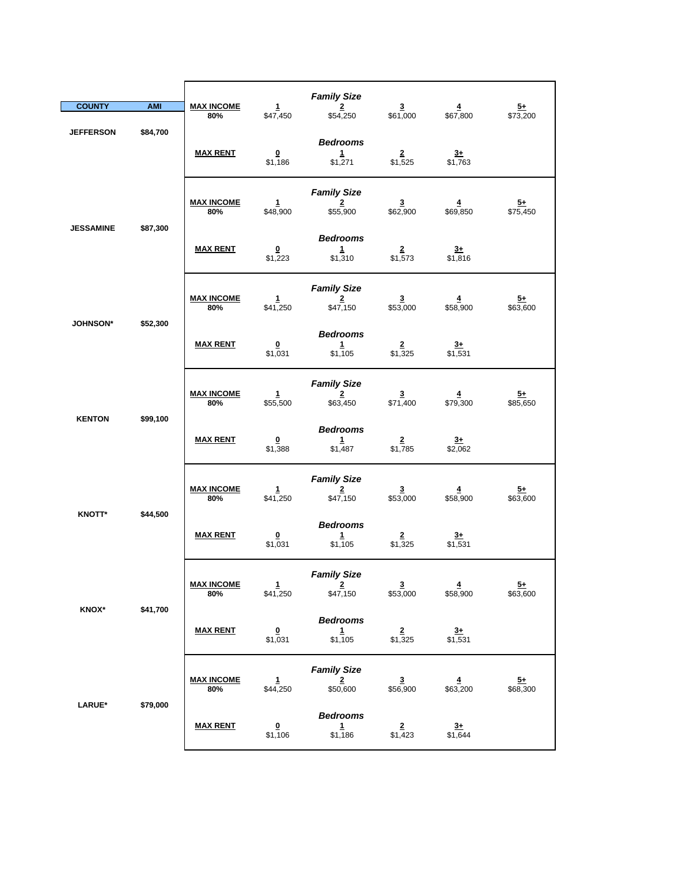| <b>COUNTY</b>    | <b>AMI</b> | <b>MAX INCOME</b><br>80% | $\mathbf{1}$<br>\$47,450            | <b>Family Size</b><br>$\overline{\mathbf{2}}$<br>\$54,250 | $\overline{\mathbf{3}}$<br>\$61,000 | $\overline{4}$<br>\$67,800          | $\frac{5+}{573,200}$       |
|------------------|------------|--------------------------|-------------------------------------|-----------------------------------------------------------|-------------------------------------|-------------------------------------|----------------------------|
| <b>JEFFERSON</b> | \$84,700   | <b>MAX RENT</b>          | $\overline{\mathbf{0}}$<br>\$1,186  | <b>Bedrooms</b><br>1<br>\$1,271                           | $\overline{2}$<br>\$1,525           | $3+$<br>\$1,763                     |                            |
|                  |            | <b>MAX INCOME</b><br>80% | 1<br>\$48,900                       | <b>Family Size</b><br>$\overline{2}$<br>\$55,900          | $\overline{\mathbf{3}}$<br>\$62,900 | $\overline{\mathbf{4}}$<br>\$69,850 | $5+$<br>\$75,450           |
| <b>JESSAMINE</b> | \$87,300   | <b>MAX RENT</b>          | $\overline{\mathbf{0}}$<br>\$1,223  | <b>Bedrooms</b><br>$\mathbf{1}$<br>\$1,310                | $\overline{2}$<br>\$1,573           | $3+$<br>\$1,816                     |                            |
|                  |            | <b>MAX INCOME</b><br>80% | $\mathbf{1}$<br>\$41,250            | <b>Family Size</b><br>$\overline{2}$<br>\$47,150          | $\frac{3}{153,000}$                 | $\frac{4}{158,900}$                 | $\frac{5+}{2}$<br>\$63,600 |
| <b>JOHNSON*</b>  | \$52,300   | <b>MAX RENT</b>          | $\Omega$<br>\$1,031                 | <b>Bedrooms</b><br>1<br>\$1,105                           | $\overline{2}$<br>\$1,325           | $3+$<br>\$1,531                     |                            |
|                  |            | <b>MAX INCOME</b><br>80% | $\mathbf{1}$<br>\$55,500            | <b>Family Size</b><br>$\overline{2}$<br>\$63,450          | $\frac{3}{1,400}$                   | $\frac{4}{1}$ \$79,300              | $\frac{5+}{2}$<br>\$85,650 |
| <b>KENTON</b>    | \$99,100   | <b>MAX RENT</b>          | $\overline{\mathbf{0}}$<br>\$1,388  | <b>Bedrooms</b><br>$\mathbf{1}$<br>\$1,487                | $\overline{2}$<br>\$1,785           | $rac{3+}{2}$<br>\$2,062             |                            |
|                  |            | <b>MAX INCOME</b><br>80% | $\mathbf{1}$<br>\$41,250            | <b>Family Size</b><br>$\mathbf{2}$<br>\$47,150            | $\mathbf{3}$<br>\$53,000            | $\overline{4}$<br>\$58,900          | $5+$<br>\$63,600           |
| <b>KNOTT*</b>    | \$44,500   | <b>MAX RENT</b>          | $\underline{\mathbf{0}}$<br>\$1,031 | <b>Bedrooms</b><br>$\mathbf{1}$<br>\$1,105                | $\overline{2}$<br>\$1,325           | $\overline{3+}$<br>\$1,531          |                            |
|                  |            | <b>MAX INCOME</b><br>80% | $\mathbf{1}$<br>\$41,250            | <b>Family Size</b><br>$\overline{2}$<br>\$47,150          | $\frac{3}{153,000}$                 | $\frac{4}{158,900}$                 | $\frac{5+}{63,600}$        |
| <b>KNOX*</b>     | \$41,700   | <b>MAX RENT</b>          | $\underline{\mathbf{0}}$<br>\$1,031 | <b>Bedrooms</b><br>$\mathbf{1}$<br>\$1,105                | $\overline{2}$<br>\$1,325           | $\frac{3+}{1,531}$                  |                            |
|                  |            | <b>MAX INCOME</b><br>80% | $\mathbf{1}$<br>\$44,250            | <b>Family Size</b><br>$\overline{2}$<br>\$50,600          | $\frac{3}{156,900}$                 | $\frac{4}{1}$ \$63,200              | $\frac{5+}{68,300}$        |
| LARUE*           | \$79,000   | <b>MAX RENT</b>          | $\overline{\mathbf{0}}$<br>\$1,106  | <b>Bedrooms</b><br>$\mathbf{1}$<br>\$1,186                | $\overline{2}$<br>\$1,423           | $3+$<br>\$1,644                     |                            |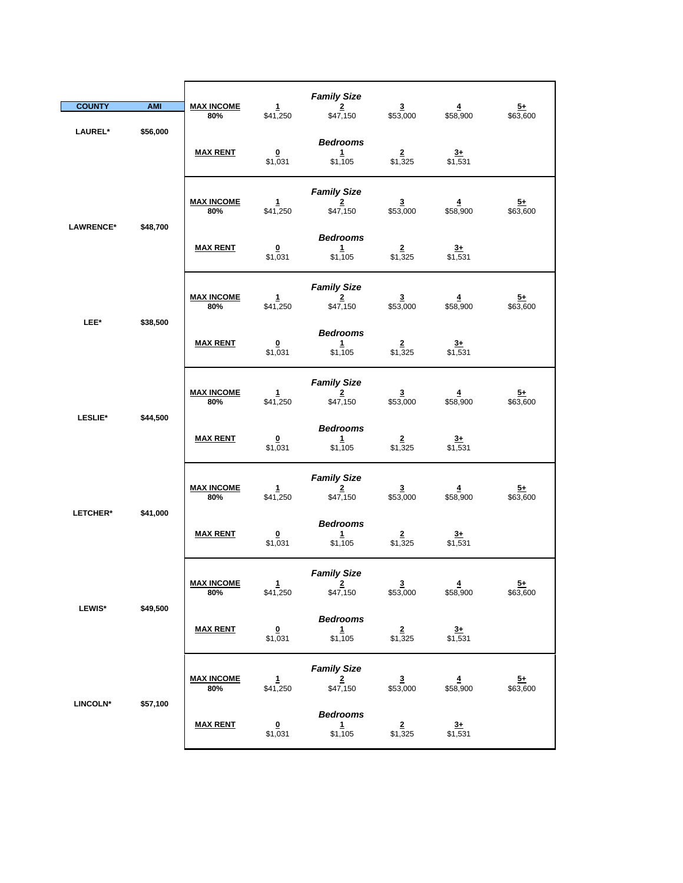| <b>COUNTY</b>    | <b>AMI</b> | <b>MAX INCOME</b><br>80% | $\mathbf{1}$<br>\$41,250           | <b>Family Size</b><br>$\overline{2}$<br>\$47,150          | $\overline{\mathbf{3}}$<br>\$53,000 | $\overline{4}$<br>\$58,900          | $5+$<br>\$63,600            |
|------------------|------------|--------------------------|------------------------------------|-----------------------------------------------------------|-------------------------------------|-------------------------------------|-----------------------------|
| LAUREL*          | \$56,000   | <b>MAX RENT</b>          | $\Omega$<br>\$1,031                | <b>Bedrooms</b><br>1<br>\$1,105                           | $\overline{2}$<br>\$1,325           | $3+$<br>$\sqrt{531}$                |                             |
| <b>LAWRENCE*</b> | \$48,700   | <b>MAX INCOME</b><br>80% | $\mathbf{1}$<br>\$41,250           | <b>Family Size</b><br>$\mathbf{2}$<br>\$47,150            | $\overline{3}$<br>\$53,000          | $\overline{\mathbf{4}}$<br>\$58,900 | $\overline{5+}$<br>\$63,600 |
|                  |            | <b>MAX RENT</b>          | $\bf{0}$<br>\$1,031                | <b>Bedrooms</b><br>1<br>\$1,105                           | $\frac{2}{1,325}$                   | $\frac{3+}{1,531}$                  |                             |
| LEE*             | \$38,500   | <b>MAX INCOME</b><br>80% | $\mathbf{1}$<br>\$41,250           | <b>Family Size</b><br>$\overline{2}$<br>\$47,150          | $\overline{\mathbf{3}}$<br>\$53,000 | $\overline{4}$<br>\$58,900          | $5+$<br>\$63,600            |
|                  |            | <b>MAX RENT</b>          | $\overline{\mathbf{0}}$<br>\$1,031 | <b>Bedrooms</b><br>1<br>\$1,105                           | $\overline{\mathbf{2}}$<br>\$1,325  | $\frac{3+}{2}$<br>\$1,531           |                             |
| <b>LESLIE*</b>   | \$44,500   | <b>MAX INCOME</b><br>80% | $\frac{1}{1}$ \$41,250             | <b>Family Size</b><br>$\overline{2}$<br>\$47,150          | $\frac{3}{153,000}$                 | $\frac{4}{158,900}$                 | $\frac{5+}{63,600}$         |
|                  |            | <b>MAX RENT</b>          | $\bf{0}$<br>\$1,031                | <b>Bedrooms</b><br>1<br>\$1,105                           | $\overline{2}$<br>\$1,325           | $rac{3+}{2}$<br>\$1,531             |                             |
| LETCHER*         | \$41,000   | <b>MAX INCOME</b><br>80% | $\mathbf{1}$<br>\$41,250           | <b>Family Size</b><br>$\overline{\mathbf{2}}$<br>\$47,150 | $\overline{\mathbf{3}}$<br>\$53,000 | $\overline{4}$<br>\$58,900          | $\frac{5+}{2}$<br>\$63,600  |
|                  |            | <b>MAX RENT</b>          | $\overline{\mathbf{0}}$<br>\$1,031 | <b>Bedrooms</b><br>1<br>\$1,105                           | $\overline{2}$<br>\$1,325           | $3+$<br>\$1,531                     |                             |
|                  | \$49,500   | <b>MAX INCOME</b><br>80% | $\mathbf{1}$<br>\$41,250           | <b>Family Size</b><br>$\overline{2}$<br>\$47,150          | $\overline{3}$<br>\$53,000          | $\overline{4}$<br>\$58,900          | $\overline{5+}$<br>\$63,600 |
| <b>LEWIS*</b>    |            | <b>MAX RENT</b>          | $\frac{0}{1,031}$                  | <b>Bedrooms</b><br>$\frac{1}{1,105}$                      | $\frac{2}{1,325}$                   | $\frac{3+}{1,531}$                  |                             |
|                  | \$57,100   | <b>MAX INCOME</b><br>80% | $\frac{1}{1}$ \$41,250             | <b>Family Size</b><br>$\frac{2}{150}$                     | $\frac{3}{153,000}$                 | $\frac{4}{158,900}$                 | $\frac{5+}{63,600}$         |
| <b>LINCOLN*</b>  |            | <b>MAX RENT</b>          | $\overline{\mathbf{0}}$<br>\$1,031 | <b>Bedrooms</b><br>$\mathbf{1}$<br>\$1,105                | $\frac{2}{1,325}$                   | $\frac{3+}{1,531}$                  |                             |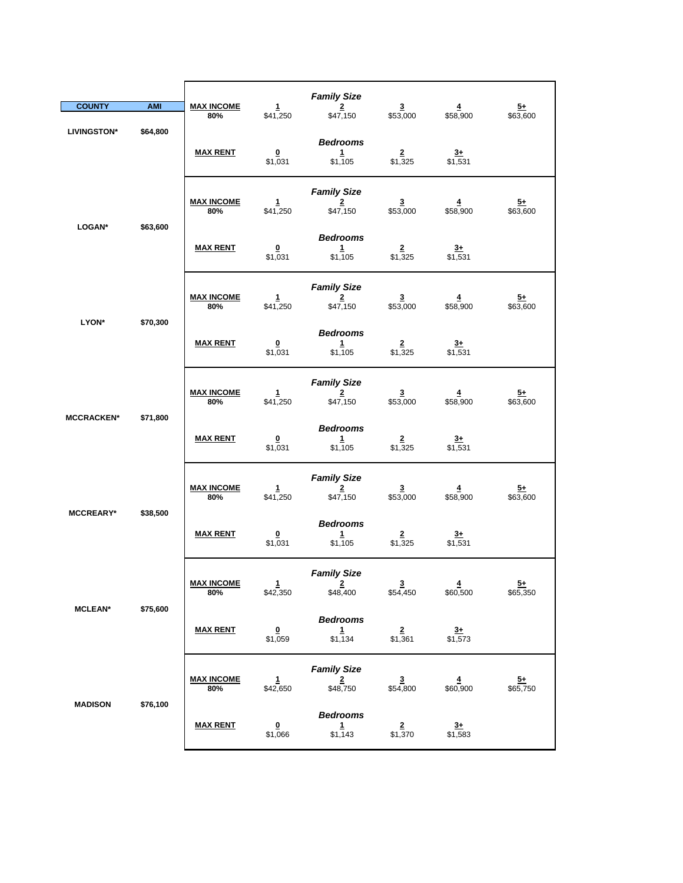|                    |                   |                          |                                    | <b>Family Size</b>                                        |                                     |                                     |                             |
|--------------------|-------------------|--------------------------|------------------------------------|-----------------------------------------------------------|-------------------------------------|-------------------------------------|-----------------------------|
| <b>COUNTY</b>      | <b>AMI</b>        | <b>MAX INCOME</b><br>80% | $\mathbf{1}$<br>\$41,250           | $\overline{2}$<br>\$47,150                                | $\overline{\mathbf{3}}$<br>\$53,000 | $\overline{\mathbf{4}}$<br>\$58,900 | $5+$<br>\$63,600            |
| <b>LIVINGSTON*</b> | \$64,800          | <b>MAX RENT</b>          | $\overline{\mathbf{0}}$<br>\$1,031 | <b>Bedrooms</b><br>$\mathbf{1}$<br>\$1,105                | $\overline{2}$<br>\$1,325           | $3+$<br>$\sqrt{$1,531}$             |                             |
| LOGAN*             |                   | <b>MAX INCOME</b><br>80% | 1<br>\$41,250                      | <b>Family Size</b><br>$\overline{2}$<br>\$47,150          | $\overline{\mathbf{3}}$<br>\$53,000 | 4<br>\$58,900                       | $\overline{5+}$<br>\$63,600 |
|                    | \$63,600          | <b>MAX RENT</b>          | $\overline{\mathbf{0}}$<br>\$1,031 | <b>Bedrooms</b><br>$\mathbf{1}$<br>\$1,105                | $\frac{2}{1,325}$                   | $\frac{3+}{1,531}$                  |                             |
|                    |                   | <b>MAX INCOME</b><br>80% | 1<br>\$41,250                      | <b>Family Size</b><br>$\overline{\mathbf{2}}$<br>\$47,150 | $\overline{\mathbf{3}}$<br>\$53,000 | $\overline{4}$<br>\$58,900          | $5+$<br>\$63,600            |
|                    | \$70,300<br>LYON* | <b>MAX RENT</b>          | $\overline{\mathbf{0}}$<br>\$1,031 | <b>Bedrooms</b><br>$\mathbf{1}$<br>\$1,105                | $\mathbf{2}^-$<br>\$1,325           | $\frac{3+}{2}$<br>\$1,531           |                             |
|                    |                   | <b>MAX INCOME</b><br>80% | $\frac{1}{1}$ \$41,250             | <b>Family Size</b><br>$\overline{\mathbf{2}}$<br>\$47,150 | $\frac{3}{153,000}$                 | $\frac{4}{158,900}$                 | $\frac{5+}{63,600}$         |
| <b>MCCRACKEN*</b>  | \$71,800          | <b>MAX RENT</b>          | $\overline{\mathbf{0}}$<br>\$1,031 | <b>Bedrooms</b><br>1<br>\$1,105                           | $\overline{2}$<br>\$1,325           | $\frac{3+}{2}$<br>\$1,531           |                             |
| <b>MCCREARY*</b>   | \$38,500          | <b>MAX INCOME</b><br>80% | $\mathbf{1}$<br>\$41,250           | <b>Family Size</b><br>$\overline{2}$<br>\$47,150          | $\overline{\mathbf{3}}$<br>\$53,000 | $\overline{\mathbf{4}}$<br>\$58,900 | $\frac{5+}{2}$<br>\$63,600  |
|                    |                   | <b>MAX RENT</b>          | $\overline{\mathbf{0}}$<br>\$1,031 | <b>Bedrooms</b><br>1<br>\$1,105                           | $\overline{\mathbf{2}}$<br>\$1,325  | $\frac{3+}{2}$<br>\$1,531           |                             |
|                    |                   | <u>MAX INCOME</u><br>80% | 1<br>\$42,350                      | <b>Family Size</b><br>$\overline{2}$<br>\$48,400          | $\overline{\mathbf{3}}$<br>\$54,450 | $\overline{4}$<br>\$60,500          | $\overline{5+}$<br>\$65,350 |
| <b>MCLEAN*</b>     | \$75,600          | <b>MAX RENT</b>          | $\overline{\mathbf{0}}$<br>\$1,059 | <b>Bedrooms</b><br>$\mathbf{1}$<br>\$1,134                | $\overline{2}$<br>\$1,361           | $3+$<br>\$1,573                     |                             |
|                    |                   | <b>MAX INCOME</b><br>80% | 1<br>\$42,650                      | <b>Family Size</b><br>$\frac{2}{1}$ \$48,750              | $\frac{3}{154,800}$                 | $\frac{4}{100}$                     | $\frac{5+}{65,750}$         |
| <b>MADISON</b>     | \$76,100          | <b>MAX RENT</b>          | $\overline{\mathbf{0}}$<br>\$1,066 | <b>Bedrooms</b><br>$\mathbf{1}$<br>\$1,143                | $\overline{2}$<br>\$1,370           | $\frac{3+}{2}$<br>\$1,583           |                             |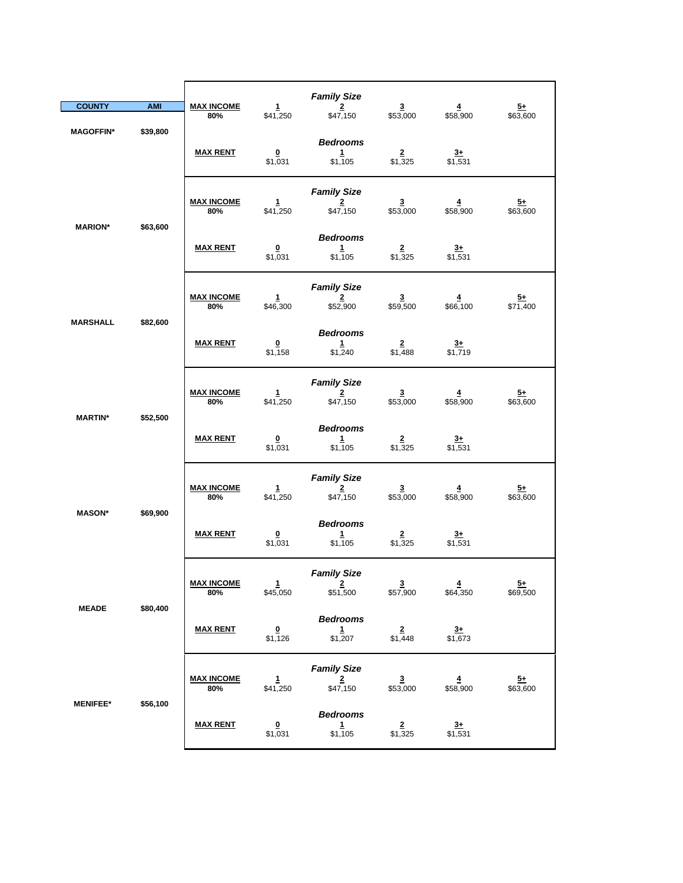| <b>COUNTY</b>    | <b>AMI</b> | <b>MAX INCOME</b>        | $\mathbf{1}$                       | <b>Family Size</b><br>$\overline{2}$                      | $\overline{\mathbf{3}}$               | $\overline{4}$                      | $5+$                        |
|------------------|------------|--------------------------|------------------------------------|-----------------------------------------------------------|---------------------------------------|-------------------------------------|-----------------------------|
| <b>MAGOFFIN*</b> | \$39,800   | 80%<br><b>MAX RENT</b>   | \$41,250<br>$\Omega$<br>\$1,031    | \$47,150<br><b>Bedrooms</b><br>$\mathbf{1}$<br>\$1,105    | \$53,000<br>$\overline{2}$<br>\$1,325 | \$58,900<br>$3+$<br>\$1,531         | \$63,600                    |
| <b>MARION*</b>   | \$63,600   | <b>MAX INCOME</b><br>80% | 1<br>\$41,250                      | <b>Family Size</b><br>$\overline{2}$<br>\$47,150          | $\overline{3}$<br>\$53,000            | $\overline{\mathbf{4}}$<br>\$58,900 | <u>5+</u><br>\$63,600       |
|                  |            | <b>MAX RENT</b>          | $\overline{\mathbf{0}}$<br>\$1,031 | <b>Bedrooms</b><br>$\mathbf{1}$<br>\$1,105                | $\frac{2}{1,325}$                     | $\frac{3+}{1,531}$                  |                             |
| <b>MARSHALL</b>  | \$82,600   | <b>MAX INCOME</b><br>80% | $\mathbf{1}$<br>\$46,300           | <b>Family Size</b><br>$\mathbf 2$<br>\$52,900             | $\overline{\mathbf{3}}$<br>\$59,500   | $\overline{4}$<br>\$66,100          | $\frac{5+}{2}$<br>\$71,400  |
|                  |            | <b>MAX RENT</b>          | $\overline{\mathbf{0}}$<br>\$1,158 | <b>Bedrooms</b><br>$\mathbf{1}$<br>\$1,240                | $\overline{2}$<br>\$1,488             | $\overline{3+}$<br>\$1,719          |                             |
| <b>MARTIN*</b>   | \$52,500   | <b>MAX INCOME</b><br>80% | $\frac{1}{1}$ \$41,250             | <b>Family Size</b><br>$\overline{2}$<br>\$47,150          | $\frac{3}{153,000}$                   | $\frac{4}{158,900}$                 | $\frac{5+}{63,600}$         |
|                  |            | <b>MAX RENT</b>          | $\overline{\mathbf{0}}$<br>\$1,031 | <b>Bedrooms</b><br>$\mathbf{1}$<br>\$1,105                | $\overline{2}$<br>\$1,325             | $rac{3+}{2}$<br>\$1,531             |                             |
| <b>MASON*</b>    | \$69,900   | <b>MAX INCOME</b><br>80% | 1<br>\$41,250                      | <b>Family Size</b><br>$\overline{\mathbf{2}}$<br>\$47,150 | $\overline{\mathbf{3}}$<br>\$53,000   | $\overline{4}$<br>\$58,900          | $\frac{5+}{2}$<br>\$63,600  |
|                  |            | <b>MAX RENT</b>          | $\overline{\mathbf{0}}$<br>\$1,031 | <b>Bedrooms</b><br>1<br>\$1,105                           | $\overline{2}$<br>\$1,325             | $3+$<br>\$1,531                     |                             |
| <b>MEADE</b>     | \$80,400   | <b>MAX INCOME</b><br>80% | $\mathbf{1}$<br>\$45,050           | <b>Family Size</b><br>$2 -$<br>\$51,500                   | $\overline{\mathbf{3}}$<br>\$57,900   | $\overline{4}$<br>\$64,350          | $\overline{5+}$<br>\$69,500 |
|                  |            | <b>MAX RENT</b>          | $\overline{\mathbf{0}}$<br>\$1,126 | <b>Bedrooms</b><br>$\frac{1}{1,207}$                      | $\frac{2}{1,448}$                     | $\frac{3+}{1,673}$                  |                             |
|                  | \$56,100   | <b>MAX INCOME</b><br>80% | $\frac{1}{1}$ \$41,250             | <b>Family Size</b><br>$\frac{2}{\$47,150}$                | $\frac{3}{153,000}$                   | $\frac{4}{158,900}$                 | $\frac{5+}{63,600}$         |
| <b>MENIFEE*</b>  |            | <b>MAX RENT</b>          | $\overline{\mathbf{0}}$<br>\$1,031 | <b>Bedrooms</b><br>$\mathbf{1}$<br>\$1,105                | $\frac{2}{1,325}$                     | $\frac{3+}{1,531}$                  |                             |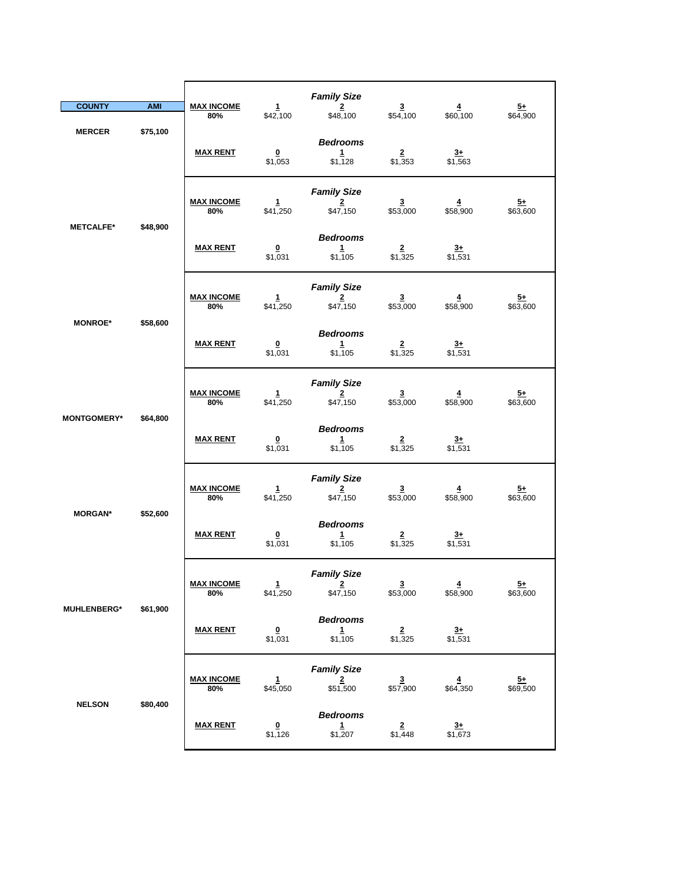|                    |            |                          |                                    | <b>Family Size</b>                               |                                     |                            |                             |
|--------------------|------------|--------------------------|------------------------------------|--------------------------------------------------|-------------------------------------|----------------------------|-----------------------------|
| <b>COUNTY</b>      | <b>AMI</b> | <b>MAX INCOME</b><br>80% | 1<br>\$42,100                      | $\overline{2}$<br>\$48,100                       | $\overline{\mathbf{3}}$<br>\$54,100 | $\overline{4}$<br>\$60,100 | $5+$<br>\$64,900            |
| <b>MERCER</b>      | \$75,100   | <b>MAX RENT</b>          | $\overline{\mathbf{0}}$<br>\$1,053 | <b>Bedrooms</b><br>1<br>\$1,128                  | $\overline{2}$<br>\$1,353           | $3+$<br>\$1,563            |                             |
| <b>METCALFE*</b>   |            | <b>MAX INCOME</b><br>80% | $\mathbf{1}$<br>\$41,250           | <b>Family Size</b><br>$\overline{2}$<br>\$47,150 | $\overline{\mathbf{3}}$<br>\$53,000 | $\overline{4}$<br>\$58,900 | <u>5+</u><br>\$63,600       |
|                    | \$48,900   | <b>MAX RENT</b>          | 0<br>\$1,031                       | <b>Bedrooms</b><br>$\mathbf{1}$<br>\$1,105       | $\frac{2}{1,325}$                   | $\frac{3+}{1,531}$         |                             |
|                    |            | <b>MAX INCOME</b><br>80% | $\mathbf{1}$<br>\$41,250           | <b>Family Size</b><br>$\overline{2}$<br>\$47,150 | $\overline{\mathbf{3}}$<br>\$53,000 | $\overline{4}$<br>\$58,900 | $5+$<br>\$63,600            |
| <b>MONROE*</b>     | \$58,600   | <b>MAX RENT</b>          | $\overline{\mathbf{0}}$<br>\$1,031 | <b>Bedrooms</b><br>$\mathbf{1}$<br>\$1,105       | $\overline{2}$<br>\$1,325           | $\frac{3+}{2}$<br>\$1,531  |                             |
|                    |            | <b>MAX INCOME</b><br>80% | $\mathbf{1}$<br>\$41,250           | <b>Family Size</b><br>$\overline{2}$<br>\$47,150 | $\overline{3}$<br>\$53,000          | $\overline{4}$<br>\$58,900 | $5+$<br>\$63,600            |
| <b>MONTGOMERY*</b> | \$64,800   | <b>MAX RENT</b>          | $\overline{\mathbf{0}}$<br>\$1,031 | <b>Bedrooms</b><br>$\mathbf{1}$<br>\$1,105       | $\overline{2}$<br>\$1,325           | $rac{3+}{2}$<br>\$1,531    |                             |
| <b>MORGAN*</b>     | \$52,600   | <b>MAX INCOME</b><br>80% | $\mathbf{1}$<br>\$41,250           | <b>Family Size</b><br>$\overline{2}$<br>\$47,150 | $\overline{\mathbf{3}}$<br>\$53,000 | $\overline{4}$<br>\$58,900 | $\overline{5+}$<br>\$63,600 |
|                    |            | <b>MAX RENT</b>          | 0<br>\$1,031                       | <b>Bedrooms</b><br>$\mathbf{1}$<br>\$1,105       | $\overline{2}$<br>\$1,325           | $\frac{3+}{1,531}$         |                             |
|                    |            | <b>MAX INCOME</b><br>80% | $\mathbf{1}$<br>\$41,250           | <b>Family Size</b><br>$\overline{2}$<br>\$47,150 | $\overline{3}$<br>\$53,000          | $\overline{4}$<br>\$58,900 | $\frac{5+}{2}$<br>\$63,600  |
| <b>MUHLENBERG*</b> | \$61,900   | <b>MAX RENT</b>          | $\overline{\mathbf{0}}$<br>\$1,031 | <b>Bedrooms</b><br>$\mathbf{1}$<br>\$1,105       | $\overline{2}$<br>\$1,325           | $3+$<br>\$1,531            |                             |
|                    |            | <b>MAX INCOME</b><br>80% | $\frac{1}{1}$ \$45,050             | <b>Family Size</b><br>$\frac{2}{\$51,500}$       | $\frac{3}{157,900}$                 | $\frac{4}{1}$ \$64,350     | $\frac{5+}{69,500}$         |
| <b>NELSON</b>      | \$80,400   | <b>MAX RENT</b>          | $\overline{\mathbf{0}}$<br>\$1,126 | <b>Bedrooms</b><br>$\mathbf{1}$<br>\$1,207       | $\overline{2}$<br>\$1,448           | $\frac{3+}{2}$<br>\$1,673  |                             |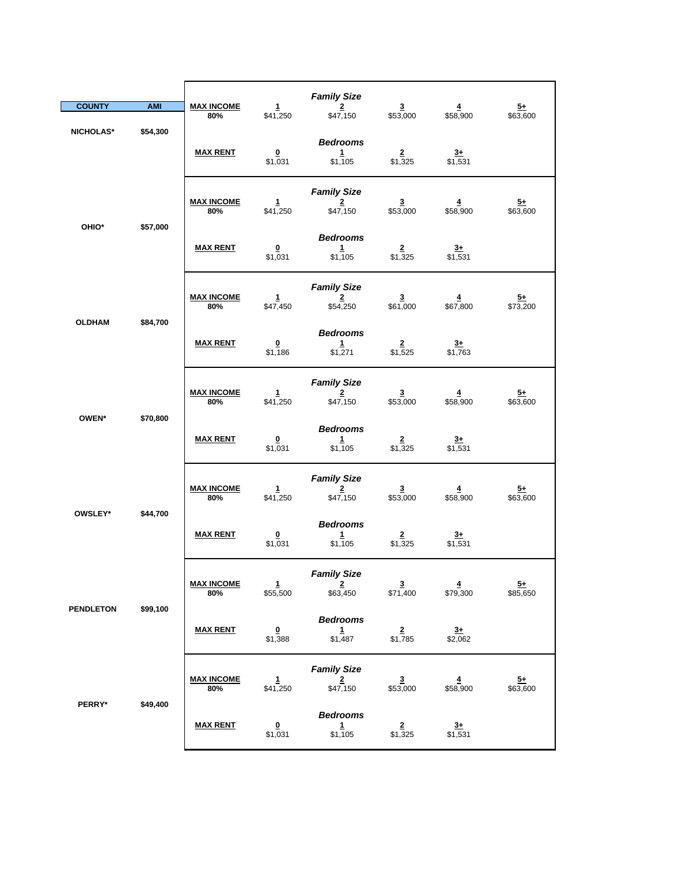|                              |                          |                          |                                                  | <b>Family Size</b>                                        |                                     |                                     |                            |
|------------------------------|--------------------------|--------------------------|--------------------------------------------------|-----------------------------------------------------------|-------------------------------------|-------------------------------------|----------------------------|
| <b>COUNTY</b>                | <b>AMI</b>               | <b>MAX INCOME</b><br>80% | $\mathbf{1}$<br>\$41,250                         | $\overline{2}$<br>\$47,150                                | $\overline{\mathbf{3}}$<br>\$53,000 | $\overline{4}$<br>\$58,900          | $5+$<br>\$63,600           |
| \$54,300<br><b>NICHOLAS*</b> | <b>MAX RENT</b>          | $\pmb{0}$<br>\$1,031     | <b>Bedrooms</b><br>1<br>\$1,105                  | $\overline{2}$<br>\$1,325                                 | $3+$<br>$\sqrt{531}$                |                                     |                            |
| OHIO*<br>\$57,000            | <b>MAX INCOME</b><br>80% | 1<br>\$41,250            | <b>Family Size</b><br>$\overline{2}$<br>\$47,150 | $\overline{\mathbf{3}}$<br>\$53,000                       | 4<br>\$58,900                       | $\overline{5+}$<br>\$63,600         |                            |
|                              |                          | <b>MAX RENT</b>          | $\overline{\mathbf{0}}$<br>\$1,031               | <b>Bedrooms</b><br>1<br>\$1,105                           | $\frac{2}{1,325}$                   | $\frac{3+}{1,531}$                  |                            |
|                              |                          | <b>MAX INCOME</b><br>80% | $\mathbf{1}$<br>\$47,450                         | <b>Family Size</b><br>$\overline{\mathbf{2}}$<br>\$54,250 | $\mathbf 3$<br>\$61,000             | $\overline{\mathbf{4}}$<br>\$67,800 | $5+$<br>\$73,200           |
| <b>OLDHAM</b>                | \$84,700                 | <b>MAX RENT</b>          | $\overline{\mathbf{0}}$<br>\$1,186               | <b>Bedrooms</b><br>$\mathbf{1}$<br>\$1,271                | $\overline{2}$<br>\$1,525           | $\frac{3+}{2}$<br>\$1,763           |                            |
|                              |                          | <b>MAX INCOME</b><br>80% | $\mathbf{1}$<br>\$41,250                         | <b>Family Size</b><br>$\frac{2}{150}$                     | $\frac{3}{153,000}$                 | $\frac{4}{158,900}$                 | $\frac{5+}{63,600}$        |
| OWEN*                        | \$70,800                 | <b>MAX RENT</b>          | $\overline{\mathbf{0}}$<br>\$1,031               | <b>Bedrooms</b><br>$\mathbf{1}$<br>\$1,105                | $\overline{2}$<br>\$1,325           | $\frac{3+}{1,531}$                  |                            |
| OWSLEY*                      | \$44,700                 | <b>MAX INCOME</b><br>80% | 1<br>\$41,250                                    | <b>Family Size</b><br>2<br>\$47,150                       | $\overline{\mathbf{3}}$<br>\$53,000 | $\overline{4}$<br>\$58,900          | $\frac{5+}{2}$<br>\$63,600 |
|                              |                          | <b>MAX RENT</b>          | $\overline{\mathbf{0}}$<br>\$1,031               | <b>Bedrooms</b><br>$1\overline{ }$<br>\$1,105             | $\overline{2}$<br>\$1,325           | $\frac{3+}{1,531}$                  |                            |
| <b>PENDLETON</b>             | \$99,100                 | <b>MAX INCOME</b><br>80% | $\mathbf{1}$<br>\$55,500                         | <b>Family Size</b><br>$\overline{2}$<br>\$63,450          | $\overline{3}$<br>\$71,400          | $\overline{4}$<br>\$79,300          | $\frac{5+}{2}$<br>\$85,650 |
|                              |                          | <b>MAX RENT</b>          | $\overline{\mathbf{0}}$<br>\$1,388               | <b>Bedrooms</b><br>1<br>\$1,487                           | $\overline{2}$<br>\$1,785           | $\frac{3+}{2}$<br>\$2,062           |                            |
|                              |                          | <b>MAX INCOME</b><br>80% | 1<br>\$41,250                                    | <b>Family Size</b><br>$\frac{2}{150}$                     | $\frac{3}{153,000}$                 | $\frac{4}{158,900}$                 | $\frac{5+}{63,600}$        |
| PERRY*                       | \$49,400                 | <b>MAX RENT</b>          | $\overline{\mathbf{0}}$<br>\$1,031               | <b>Bedrooms</b><br>$\mathbf{1}$<br>\$1,105                | $\overline{2}$<br>\$1,325           | $3+$<br>\$1,531                     |                            |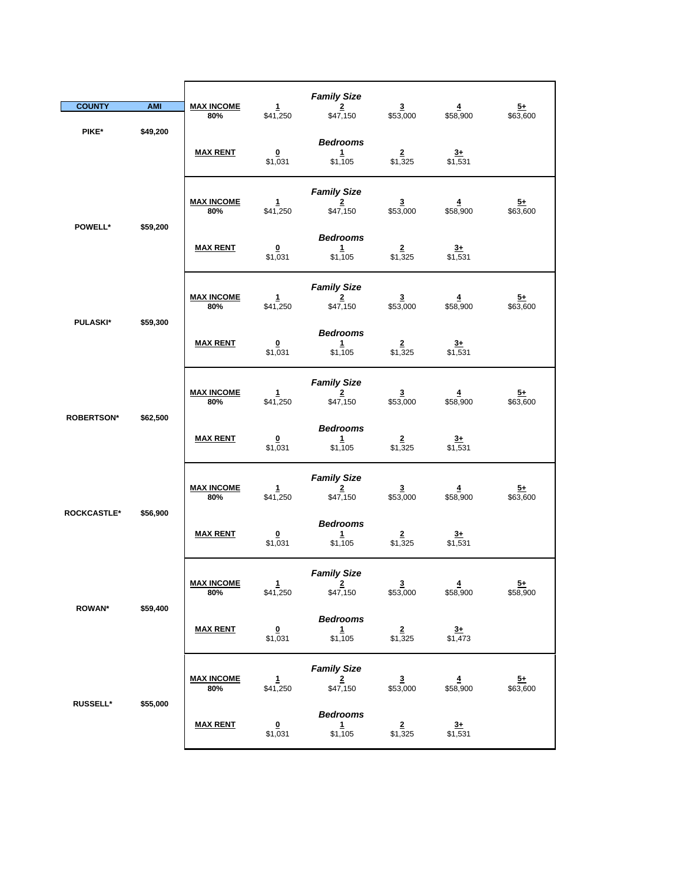| <b>COUNTY</b>      | <b>AMI</b> | <b>MAX INCOME</b><br>80% | $\mathbf{1}$<br>\$41,250           | <b>Family Size</b><br>$\overline{2}$<br>\$47,150          | $\overline{\mathbf{3}}$<br>\$53,000 | $\overline{\mathbf{4}}$<br>\$58,900 | $\frac{5+}{2}$<br>\$63,600  |
|--------------------|------------|--------------------------|------------------------------------|-----------------------------------------------------------|-------------------------------------|-------------------------------------|-----------------------------|
| PIKE*              | \$49,200   | <b>MAX RENT</b>          | $\Omega$<br>\$1,031                | <b>Bedrooms</b><br>1<br>\$1,105                           | $\overline{2}$<br>\$1,325           | $3+$<br>$\sqrt{$1,531}$             |                             |
| POWELL*            |            | <b>MAX INCOME</b><br>80% | $\mathbf{1}$<br>\$41,250           | <b>Family Size</b><br>$\overline{2}$<br>\$47,150          | $\overline{\mathbf{3}}$<br>\$53,000 | 4<br>\$58,900                       | $\overline{5+}$<br>\$63,600 |
|                    | \$59,200   | <b>MAX RENT</b>          | $\overline{\mathbf{0}}$<br>\$1,031 | <b>Bedrooms</b><br>$\mathbf 1$<br>\$1,105                 | $\overline{2}$<br>\$1,325           | $\frac{3+}{1,531}$                  |                             |
|                    |            | <b>MAX INCOME</b><br>80% | $\mathbf{1}$<br>\$41,250           | <b>Family Size</b><br>$\overline{\mathbf{2}}$<br>\$47,150 | $\mathbf{3}$<br>\$53,000            | $\overline{4}$<br>\$58,900          | $5+$<br>\$63,600            |
| <b>PULASKI*</b>    | \$59,300   | <b>MAX RENT</b>          | $\overline{\mathbf{0}}$<br>\$1,031 | <b>Bedrooms</b><br>1<br>\$1,105                           | $\overline{2}$<br>\$1,325           | <u>3+</u><br>\$1,531                |                             |
|                    |            | <b>MAX INCOME</b><br>80% | $\frac{1}{1}$ \$41,250             | <b>Family Size</b><br>$\overline{\mathbf{2}}$<br>\$47,150 | $\frac{3}{153,000}$                 | $\frac{4}{158,900}$                 | $\frac{5+}{63,600}$         |
| <b>ROBERTSON*</b>  | \$62,500   | <b>MAX RENT</b>          | $\overline{\mathbf{0}}$<br>\$1,031 | <b>Bedrooms</b><br>1<br>\$1,105                           | $\overline{2}$<br>\$1,325           | $3+$<br>\$1,531                     |                             |
| <b>ROCKCASTLE*</b> | \$56,900   | <b>MAX INCOME</b><br>80% | $\mathbf{1}$<br>\$41,250           | <b>Family Size</b><br>$\overline{2}$<br>\$47,150          | $\overline{3}$<br>\$53,000          | $\overline{4}$<br>\$58,900          | $\frac{5+}{2}$<br>\$63,600  |
|                    |            | <b>MAX RENT</b>          | $\overline{\mathbf{0}}$<br>\$1,031 | <b>Bedrooms</b><br>1<br>\$1,105                           | $\overline{2}$<br>\$1,325           | $3+$<br>\$1,531                     |                             |
|                    |            | <u>MAX INCOME</u><br>80% | 1<br>\$41,250                      | <b>Family Size</b><br>$\overline{2}$<br>\$47,150          | $\overline{\mathbf{3}}$<br>\$53,000 | $\overline{4}$<br>\$58,900          | $\overline{5+}$<br>\$58,900 |
| <b>ROWAN*</b>      | \$59,400   | <b>MAX RENT</b>          | $\overline{\mathbf{0}}$<br>\$1,031 | <b>Bedrooms</b><br>1<br>\$1,105                           | $\frac{2}{1,325}$                   | $\frac{3+}{1,473}$                  |                             |
|                    |            | <b>MAX INCOME</b><br>80% | $\mathbf{1}$<br>\$41,250           | <b>Family Size</b><br>$\frac{2}{\$47,150}$                | $\frac{3}{153,000}$                 | $\frac{4}{158,900}$                 | $\frac{5+}{63,600}$         |
| <b>RUSSELL*</b>    | \$55,000   | <b>MAX RENT</b>          | $\overline{\mathbf{0}}$<br>\$1,031 | <b>Bedrooms</b><br>$\frac{1}{1,105}$                      | $\frac{2}{1,325}$                   | $\frac{3+}{1,531}$                  |                             |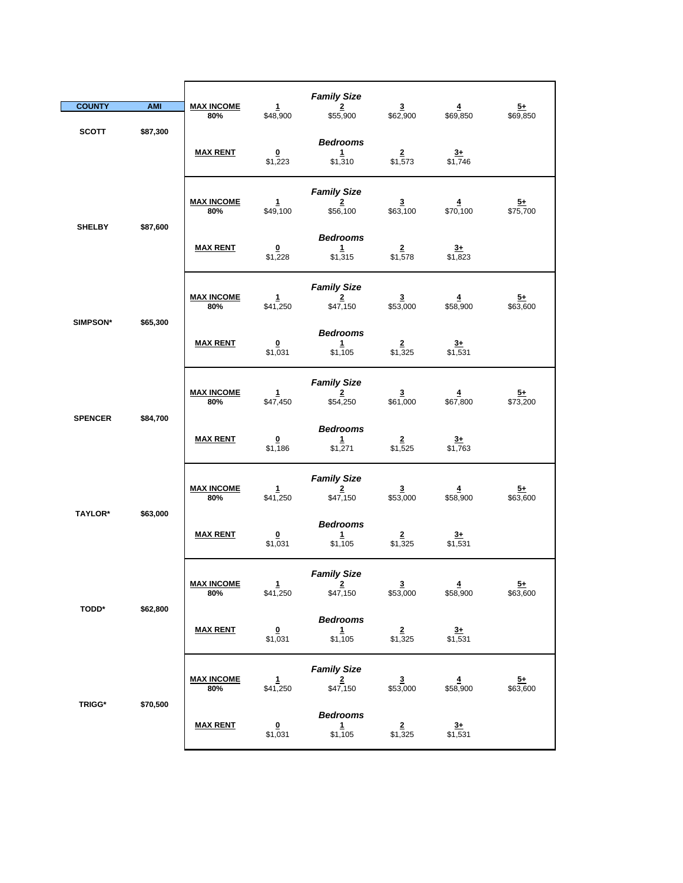| <b>COUNTY</b>                                  | <b>AMI</b>    | <b>MAX INCOME</b><br>80% | $\mathbf{1}$<br>\$48,900            | <b>Family Size</b><br>$\overline{2}$<br>\$55,900 | $\overline{\mathbf{3}}$<br>\$62,900 | $\overline{4}$<br>\$69,850          | $5+$<br>\$69,850            |
|------------------------------------------------|---------------|--------------------------|-------------------------------------|--------------------------------------------------|-------------------------------------|-------------------------------------|-----------------------------|
| <b>SCOTT</b>                                   | \$87,300      | <b>MAX RENT</b>          | $\Omega$<br>\$1,223                 | <b>Bedrooms</b><br>$\mathbf{1}$<br>\$1,310       | $\overline{2}$<br>\$1,573           | $\frac{3+}{1,746}$                  |                             |
|                                                | \$87,600      | <b>MAX INCOME</b><br>80% | $\mathbf{1}$<br>\$49,100            | <b>Family Size</b><br>$\overline{2}$<br>\$56,100 | $\overline{3}$<br>\$63,100          | $\overline{4}$<br>\$70,100          | $\overline{5+}$<br>\$75,700 |
|                                                | <b>SHELBY</b> | <b>MAX RENT</b>          | $\overline{\mathbf{0}}$<br>\$1,228  | <b>Bedrooms</b><br>$\mathbf{1}$<br>\$1,315       | $\frac{2}{1,578}$                   | $\frac{3+}{1,823}$                  |                             |
| SIMPSON*                                       | \$65,300      | <b>MAX INCOME</b><br>80% | $\mathbf{1}$<br>\$41,250            | <b>Family Size</b><br>$\overline{2}$<br>\$47,150 | $\overline{\mathbf{3}}$<br>\$53,000 | $\overline{\mathbf{4}}$<br>\$58,900 | $5+$<br>\$63,600            |
|                                                |               | <b>MAX RENT</b>          | $\overline{\mathbf{0}}$<br>\$1,031  | <b>Bedrooms</b><br>1<br>\$1,105                  | $\overline{2}$<br>\$1,325           | $\frac{3+}{2}$<br>\$1,531           |                             |
| <b>SPENCER</b>                                 | \$84,700      | <b>MAX INCOME</b><br>80% | $\mathbf{1}$<br>\$47,450            | <b>Family Size</b><br>$\overline{2}$<br>\$54,250 | $\frac{3}{1,000}$                   | $\frac{4}{1}$ \$67,800              | $\frac{5+}{573,200}$        |
|                                                |               | <b>MAX RENT</b>          | $\overline{\mathbf{0}}$<br>\$1,186  | <b>Bedrooms</b><br>$\mathbf{1}$<br>\$1,271       | $\overline{2}$<br>\$1,525           | $3+$<br>\$1,763                     |                             |
| TAYLOR*                                        | \$63,000      | <b>MAX INCOME</b><br>80% | $\mathbf{1}$<br>\$41,250            | <b>Family Size</b><br>$\overline{2}$<br>\$47,150 | $\overline{\mathbf{3}}$<br>\$53,000 | $\overline{4}$<br>\$58,900          | $\frac{5+}{5+}$<br>\$63,600 |
|                                                |               | <b>MAX RENT</b>          | $\underline{\mathbf{0}}$<br>\$1,031 | <b>Bedrooms</b><br>$\mathbf{1}$<br>\$1,105       | $\overline{2}$<br>\$1,325           | $\frac{3+}{1,531}$                  |                             |
| <b>TODD*</b>                                   | \$62,800      | <b>MAX INCOME</b><br>80% | $\mathbf{1}$<br>\$41,250            | <b>Family Size</b><br>$\overline{2}$<br>\$47,150 | $\frac{3}{153,000}$                 | $\frac{4}{158,900}$                 | $\frac{5+}{63,600}$         |
|                                                |               | <b>MAX RENT</b>          | $\pmb{0}$<br>\$1,031                | <b>Bedrooms</b><br>$\mathbf{1}$<br>\$1,105       | $\frac{2}{1,325}$                   | $\frac{3+}{1,531}$                  |                             |
| $\ensuremath{\mathsf{T}\mathsf{RIGG}^{\star}}$ | \$70,500      | <b>MAX INCOME</b><br>80% | $\frac{1}{1}$ \$41,250              | <b>Family Size</b><br>$\frac{2}{1547,150}$       | $\frac{3}{153,000}$                 | $\frac{4}{158,900}$                 | $\frac{5+}{63,600}$         |
|                                                |               | <b>MAX RENT</b>          | $\overline{\mathbf{0}}$<br>\$1,031  | <b>Bedrooms</b><br>$\frac{1}{1,105}$             | $\overline{2}$<br>\$1,325           | $\frac{3+}{1,531}$                  |                             |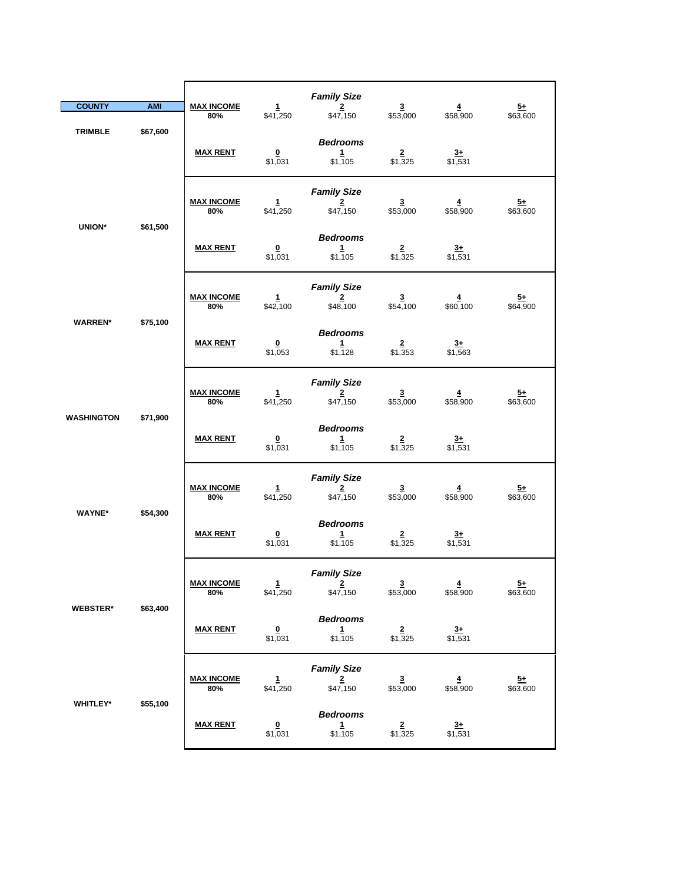| <b>COUNTY</b>     | <b>AMI</b> | <b>MAX INCOME</b>        | $\mathbf{1}$                       | <b>Family Size</b><br>$\overline{2}$                      | $\overline{\mathbf{3}}$             | $\overline{\mathbf{4}}$             | $5+$                        |
|-------------------|------------|--------------------------|------------------------------------|-----------------------------------------------------------|-------------------------------------|-------------------------------------|-----------------------------|
| <b>TRIMBLE</b>    | \$67,600   | 80%                      | \$41,250                           | \$47,150                                                  | \$53,000                            | \$58,900                            | \$63,600                    |
|                   |            | <b>MAX RENT</b>          | $\overline{\mathbf{0}}$<br>\$1,031 | <b>Bedrooms</b><br>$\mathbf{1}$<br>\$1,105                | $\overline{2}$<br>\$1,325           | $3+$<br>$\sqrt{$1,531}$             |                             |
| UNION*            |            | <b>MAX INCOME</b><br>80% | 1<br>\$41,250                      | <b>Family Size</b><br>$\overline{2}$<br>\$47,150          | $\overline{\mathbf{3}}$<br>\$53,000 | 4<br>\$58,900                       | $\frac{5+}{2}$<br>\$63,600  |
|                   | \$61,500   | <b>MAX RENT</b>          | $\overline{\mathbf{0}}$<br>\$1,031 | <b>Bedrooms</b><br>$\mathbf{1}$<br>\$1,105                | $\frac{2}{1,325}$                   | $\frac{3+}{1,531}$                  |                             |
|                   |            | <b>MAX INCOME</b><br>80% | 1<br>\$42,100                      | <b>Family Size</b><br>$\overline{2}$<br>\$48,100          | $\overline{\mathbf{3}}$<br>\$54,100 | $\overline{4}$<br>\$60,100          | $5+$<br>\$64,900            |
| <b>WARREN*</b>    | \$75,100   | <b>MAX RENT</b>          | $\overline{\mathbf{0}}$<br>\$1,053 | <b>Bedrooms</b><br>$\mathbf{1}$<br>\$1,128                | $\overline{\mathbf{2}}$<br>\$1,353  | $3+$<br>\$1,563                     |                             |
|                   |            | <b>MAX INCOME</b><br>80% | $\frac{1}{1}$ \$41,250             | <b>Family Size</b><br>$\overline{\mathbf{2}}$<br>\$47,150 | $\frac{3}{153,000}$                 | $\frac{4}{158,900}$                 | $\frac{5+}{63,600}$         |
| <b>WASHINGTON</b> | \$71,900   | <b>MAX RENT</b>          | $\overline{\mathbf{0}}$<br>\$1,031 | <b>Bedrooms</b><br>$\mathbf{1}$<br>\$1,105                | $\overline{2}$<br>\$1,325           | $\frac{3+}{2}$<br>\$1,531           |                             |
| <b>WAYNE*</b>     | \$54,300   | <b>MAX INCOME</b><br>80% | $\mathbf{1}$<br>\$41,250           | <b>Family Size</b><br>$\overline{2}$<br>\$47,150          | $\overline{\mathbf{3}}$<br>\$53,000 | $\overline{\mathbf{4}}$<br>\$58,900 | $\frac{5+}{2}$<br>\$63,600  |
|                   |            | <b>MAX RENT</b>          | $\overline{\mathbf{0}}$<br>\$1,031 | <b>Bedrooms</b><br>1<br>\$1,105                           | $\overline{2}$<br>\$1,325           | $3+$<br>\$1,531                     |                             |
|                   |            | <u>MAX INCOME</u><br>80% | 1<br>\$41,250                      | <b>Family Size</b><br>$\overline{2}$<br>\$47,150          | $\overline{3}$<br>\$53,000          | $\overline{4}$<br>\$58,900          | $\overline{5+}$<br>\$63,600 |
| <b>WEBSTER*</b>   | \$63,400   | <b>MAX RENT</b>          | $\overline{\mathbf{0}}$<br>\$1,031 | <b>Bedrooms</b><br>$\mathbf{1}$<br>\$1,105                | $\frac{2}{1,325}$                   | $\frac{3+}{1,531}$                  |                             |
|                   |            | <b>MAX INCOME</b><br>80% | 1<br>\$41,250                      | <b>Family Size</b><br>$\overline{2}$<br>\$47,150          | $\frac{3}{153,000}$                 | $\frac{4}{158,900}$                 | $\frac{5+}{63,600}$         |
| WHITLEY*          | \$55,100   | <b>MAX RENT</b>          | $\overline{\mathbf{0}}$<br>\$1,031 | <b>Bedrooms</b><br>$\frac{1}{1,105}$                      | $\frac{2}{1,325}$                   | $3+$<br>\$1,531                     |                             |